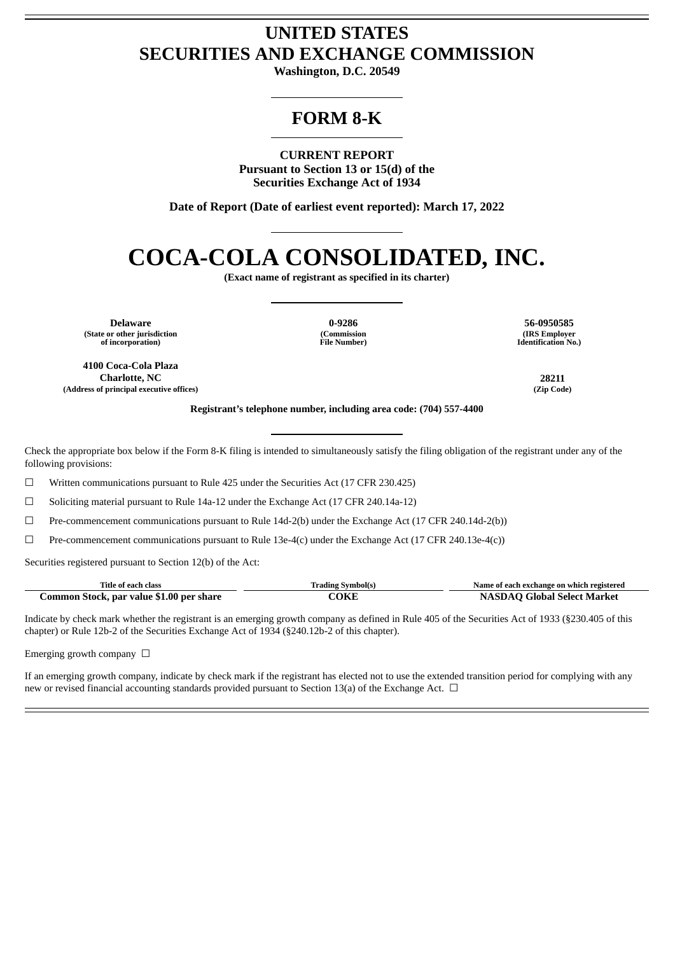# **UNITED STATES SECURITIES AND EXCHANGE COMMISSION**

**Washington, D.C. 20549**

# **FORM 8-K**

**CURRENT REPORT Pursuant to Section 13 or 15(d) of the Securities Exchange Act of 1934**

**Date of Report (Date of earliest event reported): March 17, 2022**

# **COCA-COLA CONSOLIDATED, INC.**

**(Exact name of registrant as specified in its charter)**

**Delaware 0-9286 56-0950585 (State or other jurisdiction of incorporation)**

**(Commission File Number)**

**(IRS Employer Identification No.)**

**4100 Coca-Cola Plaza Charlotte, NC 28211 (Address of principal executive offices) (Zip Code)**

**Registrant's telephone number, including area code: (704) 557-4400**

Check the appropriate box below if the Form 8-K filing is intended to simultaneously satisfy the filing obligation of the registrant under any of the following provisions:

☐ Written communications pursuant to Rule 425 under the Securities Act (17 CFR 230.425)

☐ Soliciting material pursuant to Rule 14a-12 under the Exchange Act (17 CFR 240.14a-12)

☐ Pre-commencement communications pursuant to Rule 14d-2(b) under the Exchange Act (17 CFR 240.14d-2(b))

 $\Box$  Pre-commencement communications pursuant to Rule 13e-4(c) under the Exchange Act (17 CFR 240.13e-4(c))

Securities registered pursuant to Section 12(b) of the Act:

| Title of each class                      | Trading Symbol(s) | Name of each exchange on which registered |  |
|------------------------------------------|-------------------|-------------------------------------------|--|
| Common Stock, par value \$1.00 per share | COKE              | AO Global Select Market<br>NASDAC         |  |

Indicate by check mark whether the registrant is an emerging growth company as defined in Rule 405 of the Securities Act of 1933 (§230.405 of this chapter) or Rule 12b-2 of the Securities Exchange Act of 1934 (§240.12b-2 of this chapter).

Emerging growth company  $\Box$ 

If an emerging growth company, indicate by check mark if the registrant has elected not to use the extended transition period for complying with any new or revised financial accounting standards provided pursuant to Section 13(a) of the Exchange Act.  $\Box$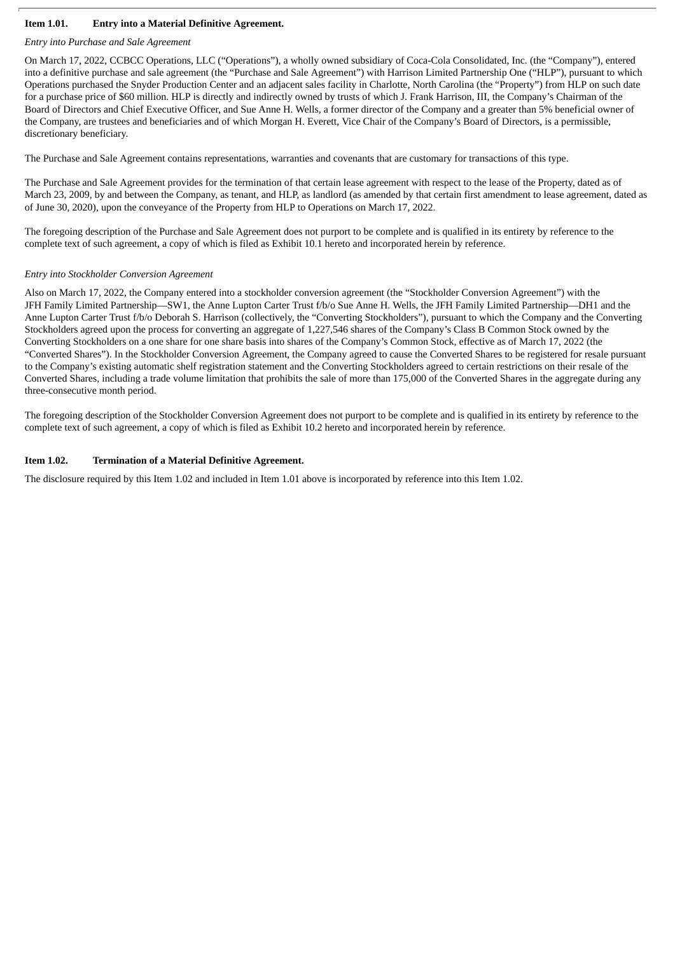# **Item 1.01. Entry into a Material Definitive Agreement.**

# *Entry into Purchase and Sale Agreement*

On March 17, 2022, CCBCC Operations, LLC ("Operations"), a wholly owned subsidiary of Coca-Cola Consolidated, Inc. (the "Company"), entered into a definitive purchase and sale agreement (the "Purchase and Sale Agreement") with Harrison Limited Partnership One ("HLP"), pursuant to which Operations purchased the Snyder Production Center and an adjacent sales facility in Charlotte, North Carolina (the "Property") from HLP on such date for a purchase price of \$60 million. HLP is directly and indirectly owned by trusts of which J. Frank Harrison, III, the Company's Chairman of the Board of Directors and Chief Executive Officer, and Sue Anne H. Wells, a former director of the Company and a greater than 5% beneficial owner of the Company, are trustees and beneficiaries and of which Morgan H. Everett, Vice Chair of the Company's Board of Directors, is a permissible, discretionary beneficiary.

The Purchase and Sale Agreement contains representations, warranties and covenants that are customary for transactions of this type.

The Purchase and Sale Agreement provides for the termination of that certain lease agreement with respect to the lease of the Property, dated as of March 23, 2009, by and between the Company, as tenant, and HLP, as landlord (as amended by that certain first amendment to lease agreement, dated as of June 30, 2020), upon the conveyance of the Property from HLP to Operations on March 17, 2022.

The foregoing description of the Purchase and Sale Agreement does not purport to be complete and is qualified in its entirety by reference to the complete text of such agreement, a copy of which is filed as Exhibit 10.1 hereto and incorporated herein by reference.

#### *Entry into Stockholder Conversion Agreement*

Also on March 17, 2022, the Company entered into a stockholder conversion agreement (the "Stockholder Conversion Agreement") with the JFH Family Limited Partnership—SW1, the Anne Lupton Carter Trust f/b/o Sue Anne H. Wells, the JFH Family Limited Partnership—DH1 and the Anne Lupton Carter Trust f/b/o Deborah S. Harrison (collectively, the "Converting Stockholders"), pursuant to which the Company and the Converting Stockholders agreed upon the process for converting an aggregate of 1,227,546 shares of the Company's Class B Common Stock owned by the Converting Stockholders on a one share for one share basis into shares of the Company's Common Stock, effective as of March 17, 2022 (the "Converted Shares"). In the Stockholder Conversion Agreement, the Company agreed to cause the Converted Shares to be registered for resale pursuant to the Company's existing automatic shelf registration statement and the Converting Stockholders agreed to certain restrictions on their resale of the Converted Shares, including a trade volume limitation that prohibits the sale of more than 175,000 of the Converted Shares in the aggregate during any three-consecutive month period.

The foregoing description of the Stockholder Conversion Agreement does not purport to be complete and is qualified in its entirety by reference to the complete text of such agreement, a copy of which is filed as Exhibit 10.2 hereto and incorporated herein by reference.

#### **Item 1.02. Termination of a Material Definitive Agreement.**

The disclosure required by this Item 1.02 and included in Item 1.01 above is incorporated by reference into this Item 1.02.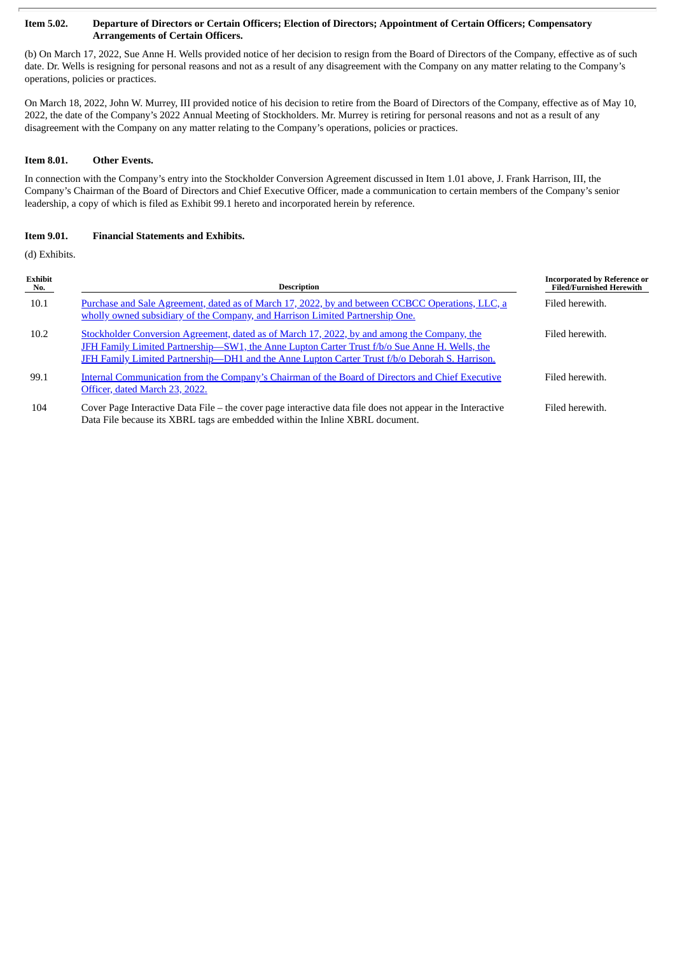#### Item 5.02. Departure of Directors or Certain Officers; Election of Directors; Appointment of Certain Officers; Compensatory **Arrangements of Certain Officers.**

(b) On March 17, 2022, Sue Anne H. Wells provided notice of her decision to resign from the Board of Directors of the Company, effective as of such date. Dr. Wells is resigning for personal reasons and not as a result of any disagreement with the Company on any matter relating to the Company's operations, policies or practices.

On March 18, 2022, John W. Murrey, III provided notice of his decision to retire from the Board of Directors of the Company, effective as of May 10, 2022, the date of the Company's 2022 Annual Meeting of Stockholders. Mr. Murrey is retiring for personal reasons and not as a result of any disagreement with the Company on any matter relating to the Company's operations, policies or practices.

# **Item 8.01. Other Events.**

In connection with the Company's entry into the Stockholder Conversion Agreement discussed in Item 1.01 above, J. Frank Harrison, III, the Company's Chairman of the Board of Directors and Chief Executive Officer, made a communication to certain members of the Company's senior leadership, a copy of which is filed as Exhibit 99.1 hereto and incorporated herein by reference.

# **Item 9.01. Financial Statements and Exhibits.**

(d) Exhibits.

| Exhibit<br>No. | <b>Description</b>                                                                                                                                                                                                                                                                             | <b>Incorporated by Reference or</b><br><b>Filed/Furnished Herewith</b> |
|----------------|------------------------------------------------------------------------------------------------------------------------------------------------------------------------------------------------------------------------------------------------------------------------------------------------|------------------------------------------------------------------------|
| 10.1           | Purchase and Sale Agreement, dated as of March 17, 2022, by and between CCBCC Operations, LLC, a<br>wholly owned subsidiary of the Company, and Harrison Limited Partnership One.                                                                                                              | Filed herewith.                                                        |
| 10.2           | Stockholder Conversion Agreement, dated as of March 17, 2022, by and among the Company, the<br>JFH Family Limited Partnership—SW1, the Anne Lupton Carter Trust f/b/o Sue Anne H. Wells, the<br>JFH Family Limited Partnership—DH1 and the Anne Lupton Carter Trust f/b/o Deborah S. Harrison. | Filed herewith.                                                        |
| 99.1           | <u>Internal Communication from the Company's Chairman of the Board of Directors and Chief Executive</u><br>Officer, dated March 23, 2022.                                                                                                                                                      | Filed herewith.                                                        |
| 104            | Cover Page Interactive Data File - the cover page interactive data file does not appear in the Interactive<br>Data File because its XBRL tags are embedded within the Inline XBRL document.                                                                                                    | Filed herewith.                                                        |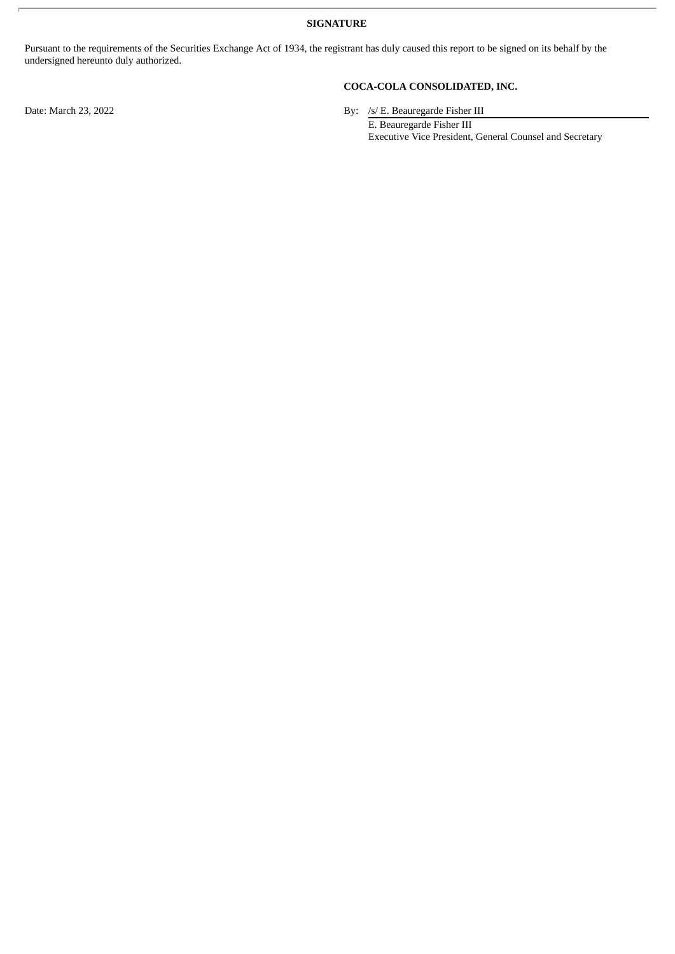**SIGNATURE**

Pursuant to the requirements of the Securities Exchange Act of 1934, the registrant has duly caused this report to be signed on its behalf by the undersigned hereunto duly authorized.

# **COCA-COLA CONSOLIDATED, INC.**

Date: March 23, 2022 By: /s/ E. Beauregarde Fisher III

E. Beauregarde Fisher III Executive Vice President, General Counsel and Secretary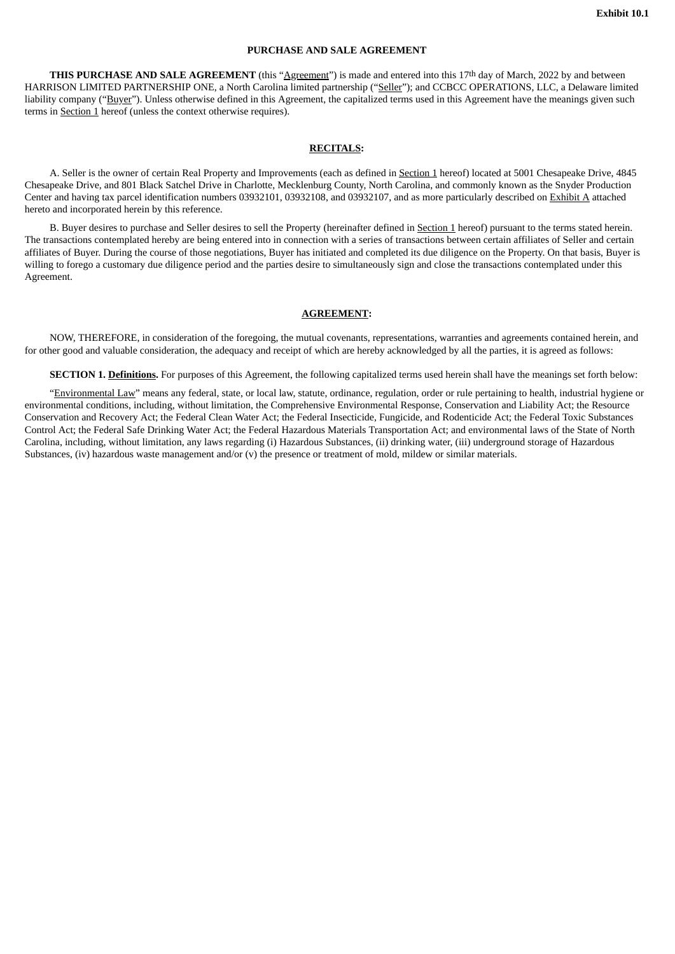#### **PURCHASE AND SALE AGREEMENT**

<span id="page-4-0"></span>**THIS PURCHASE AND SALE AGREEMENT** (this "Agreement") is made and entered into this 17th day of March, 2022 by and between HARRISON LIMITED PARTNERSHIP ONE, a North Carolina limited partnership ("Seller"); and CCBCC OPERATIONS, LLC, a Delaware limited liability company ("Buyer"). Unless otherwise defined in this Agreement, the capitalized terms used in this Agreement have the meanings given such terms in Section 1 hereof (unless the context otherwise requires).

#### **RECITALS:**

A. Seller is the owner of certain Real Property and Improvements (each as defined in Section 1 hereof) located at 5001 Chesapeake Drive, 4845 Chesapeake Drive, and 801 Black Satchel Drive in Charlotte, Mecklenburg County, North Carolina, and commonly known as the Snyder Production Center and having tax parcel identification numbers 03932101, 03932108, and 03932107, and as more particularly described on Exhibit A attached hereto and incorporated herein by this reference.

B. Buyer desires to purchase and Seller desires to sell the Property (hereinafter defined in Section 1 hereof) pursuant to the terms stated herein. The transactions contemplated hereby are being entered into in connection with a series of transactions between certain affiliates of Seller and certain affiliates of Buyer. During the course of those negotiations, Buyer has initiated and completed its due diligence on the Property. On that basis, Buyer is willing to forego a customary due diligence period and the parties desire to simultaneously sign and close the transactions contemplated under this Agreement.

#### **AGREEMENT:**

NOW, THEREFORE, in consideration of the foregoing, the mutual covenants, representations, warranties and agreements contained herein, and for other good and valuable consideration, the adequacy and receipt of which are hereby acknowledged by all the parties, it is agreed as follows:

**SECTION 1. Definitions.** For purposes of this Agreement, the following capitalized terms used herein shall have the meanings set forth below:

"Environmental Law" means any federal, state, or local law, statute, ordinance, regulation, order or rule pertaining to health, industrial hygiene or environmental conditions, including, without limitation, the Comprehensive Environmental Response, Conservation and Liability Act; the Resource Conservation and Recovery Act; the Federal Clean Water Act; the Federal Insecticide, Fungicide, and Rodenticide Act; the Federal Toxic Substances Control Act; the Federal Safe Drinking Water Act; the Federal Hazardous Materials Transportation Act; and environmental laws of the State of North Carolina, including, without limitation, any laws regarding (i) Hazardous Substances, (ii) drinking water, (iii) underground storage of Hazardous Substances, (iv) hazardous waste management and/or (v) the presence or treatment of mold, mildew or similar materials.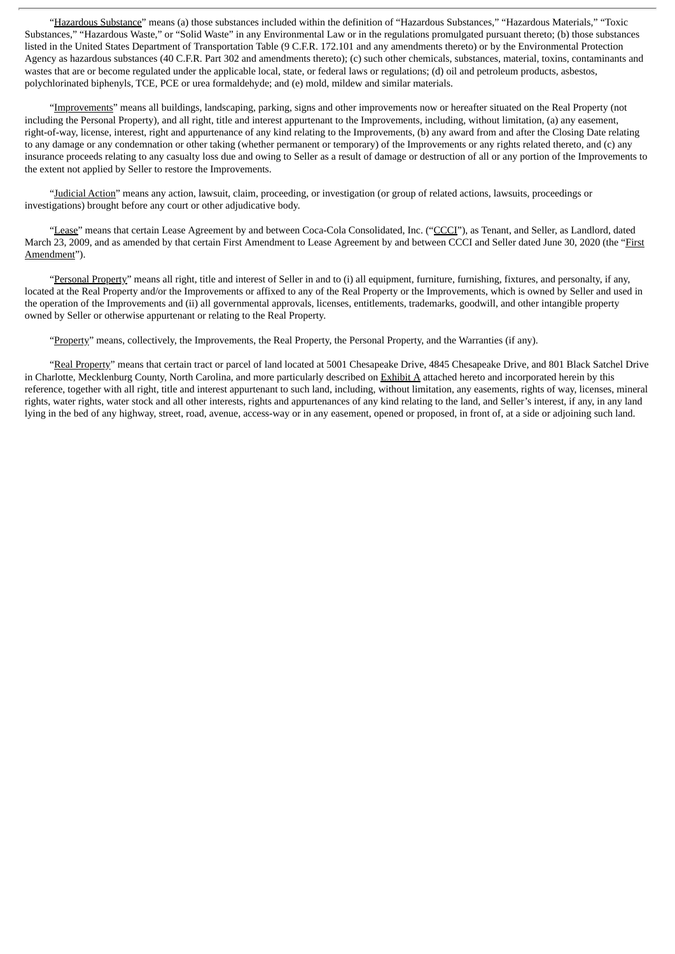"Hazardous Substance" means (a) those substances included within the definition of "Hazardous Substances," "Hazardous Materials," "Toxic Substances," "Hazardous Waste," or "Solid Waste" in any Environmental Law or in the regulations promulgated pursuant thereto; (b) those substances listed in the United States Department of Transportation Table (9 C.F.R. 172.101 and any amendments thereto) or by the Environmental Protection Agency as hazardous substances (40 C.F.R. Part 302 and amendments thereto); (c) such other chemicals, substances, material, toxins, contaminants and wastes that are or become regulated under the applicable local, state, or federal laws or regulations; (d) oil and petroleum products, asbestos, polychlorinated biphenyls, TCE, PCE or urea formaldehyde; and (e) mold, mildew and similar materials.

"Improvements" means all buildings, landscaping, parking, signs and other improvements now or hereafter situated on the Real Property (not including the Personal Property), and all right, title and interest appurtenant to the Improvements, including, without limitation, (a) any easement, right-of-way, license, interest, right and appurtenance of any kind relating to the Improvements, (b) any award from and after the Closing Date relating to any damage or any condemnation or other taking (whether permanent or temporary) of the Improvements or any rights related thereto, and (c) any insurance proceeds relating to any casualty loss due and owing to Seller as a result of damage or destruction of all or any portion of the Improvements to the extent not applied by Seller to restore the Improvements.

"Judicial Action" means any action, lawsuit, claim, proceeding, or investigation (or group of related actions, lawsuits, proceedings or investigations) brought before any court or other adjudicative body.

"Lease" means that certain Lease Agreement by and between Coca-Cola Consolidated, Inc. ("CCCI"), as Tenant, and Seller, as Landlord, dated March 23, 2009, and as amended by that certain First Amendment to Lease Agreement by and between CCCI and Seller dated June 30, 2020 (the "First Amendment").

"Personal Property" means all right, title and interest of Seller in and to (i) all equipment, furniture, furnishing, fixtures, and personalty, if any, located at the Real Property and/or the Improvements or affixed to any of the Real Property or the Improvements, which is owned by Seller and used in the operation of the Improvements and (ii) all governmental approvals, licenses, entitlements, trademarks, goodwill, and other intangible property owned by Seller or otherwise appurtenant or relating to the Real Property.

"Property" means, collectively, the Improvements, the Real Property, the Personal Property, and the Warranties (if any).

"Real Property" means that certain tract or parcel of land located at 5001 Chesapeake Drive, 4845 Chesapeake Drive, and 801 Black Satchel Drive in Charlotte, Mecklenburg County, North Carolina, and more particularly described on Exhibit A attached hereto and incorporated herein by this reference, together with all right, title and interest appurtenant to such land, including, without limitation, any easements, rights of way, licenses, mineral rights, water rights, water stock and all other interests, rights and appurtenances of any kind relating to the land, and Seller's interest, if any, in any land lying in the bed of any highway, street, road, avenue, access-way or in any easement, opened or proposed, in front of, at a side or adjoining such land.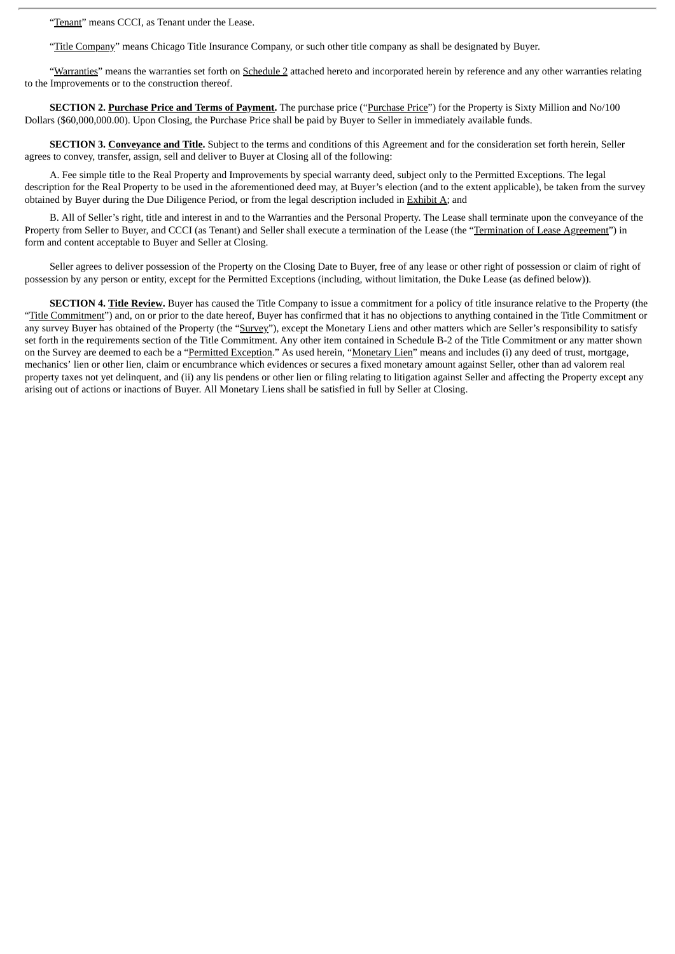"Tenant" means CCCI, as Tenant under the Lease.

"Title Company" means Chicago Title Insurance Company, or such other title company as shall be designated by Buyer.

"Warranties" means the warranties set forth on Schedule 2 attached hereto and incorporated herein by reference and any other warranties relating to the Improvements or to the construction thereof.

**SECTION 2. Purchase Price and Terms of Payment.** The purchase price ("Purchase Price") for the Property is Sixty Million and No/100 Dollars (\$60,000,000.00). Upon Closing, the Purchase Price shall be paid by Buyer to Seller in immediately available funds.

**SECTION 3. Conveyance and Title.** Subject to the terms and conditions of this Agreement and for the consideration set forth herein, Seller agrees to convey, transfer, assign, sell and deliver to Buyer at Closing all of the following:

A. Fee simple title to the Real Property and Improvements by special warranty deed, subject only to the Permitted Exceptions. The legal description for the Real Property to be used in the aforementioned deed may, at Buyer's election (and to the extent applicable), be taken from the survey obtained by Buyer during the Due Diligence Period, or from the legal description included in Exhibit A; and

B. All of Seller's right, title and interest in and to the Warranties and the Personal Property. The Lease shall terminate upon the conveyance of the Property from Seller to Buyer, and CCCI (as Tenant) and Seller shall execute a termination of the Lease (the "Termination of Lease Agreement") in form and content acceptable to Buyer and Seller at Closing.

Seller agrees to deliver possession of the Property on the Closing Date to Buyer, free of any lease or other right of possession or claim of right of possession by any person or entity, except for the Permitted Exceptions (including, without limitation, the Duke Lease (as defined below)).

**SECTION 4. Title Review.** Buyer has caused the Title Company to issue a commitment for a policy of title insurance relative to the Property (the "Title Commitment") and, on or prior to the date hereof, Buyer has confirmed that it has no objections to anything contained in the Title Commitment or any survey Buyer has obtained of the Property (the "Survey"), except the Monetary Liens and other matters which are Seller's responsibility to satisfy set forth in the requirements section of the Title Commitment. Any other item contained in Schedule B-2 of the Title Commitment or any matter shown on the Survey are deemed to each be a "Permitted Exception." As used herein, "Monetary Lien" means and includes (i) any deed of trust, mortgage, mechanics' lien or other lien, claim or encumbrance which evidences or secures a fixed monetary amount against Seller, other than ad valorem real property taxes not yet delinquent, and (ii) any lis pendens or other lien or filing relating to litigation against Seller and affecting the Property except any arising out of actions or inactions of Buyer. All Monetary Liens shall be satisfied in full by Seller at Closing.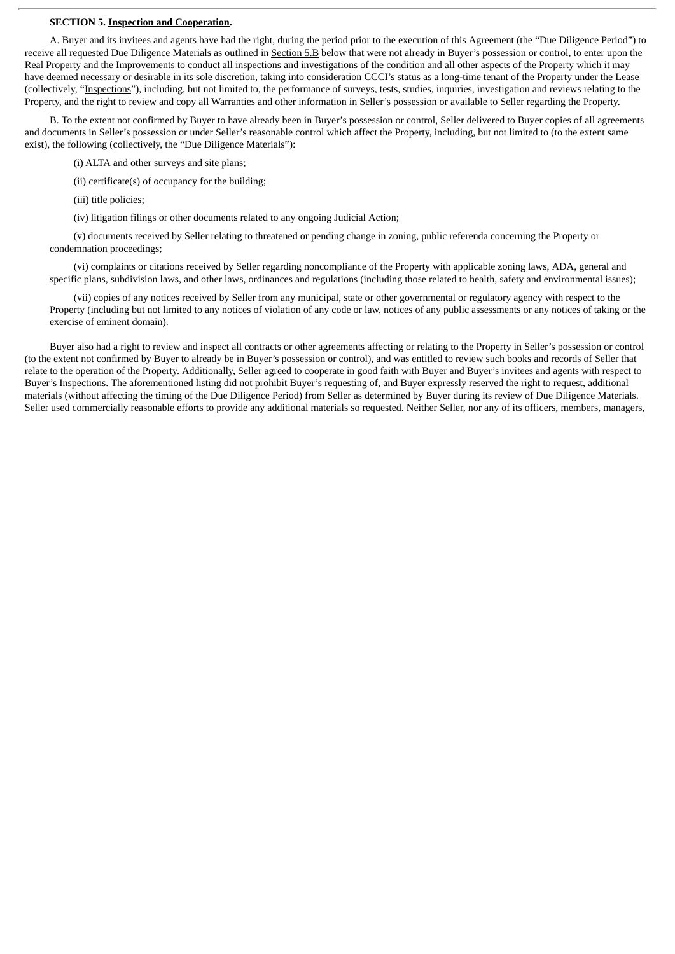#### **SECTION 5. Inspection and Cooperation.**

A. Buyer and its invitees and agents have had the right, during the period prior to the execution of this Agreement (the "Due Diligence Period") to receive all requested Due Diligence Materials as outlined in Section 5.B below that were not already in Buyer's possession or control, to enter upon the Real Property and the Improvements to conduct all inspections and investigations of the condition and all other aspects of the Property which it may have deemed necessary or desirable in its sole discretion, taking into consideration CCCI's status as a long-time tenant of the Property under the Lease (collectively, "Inspections"), including, but not limited to, the performance of surveys, tests, studies, inquiries, investigation and reviews relating to the Property, and the right to review and copy all Warranties and other information in Seller's possession or available to Seller regarding the Property.

B. To the extent not confirmed by Buyer to have already been in Buyer's possession or control, Seller delivered to Buyer copies of all agreements and documents in Seller's possession or under Seller's reasonable control which affect the Property, including, but not limited to (to the extent same exist), the following (collectively, the "Due Diligence Materials"):

(i) ALTA and other surveys and site plans;

(ii) certificate(s) of occupancy for the building;

(iii) title policies;

(iv) litigation filings or other documents related to any ongoing Judicial Action;

(v) documents received by Seller relating to threatened or pending change in zoning, public referenda concerning the Property or condemnation proceedings;

(vi) complaints or citations received by Seller regarding noncompliance of the Property with applicable zoning laws, ADA, general and specific plans, subdivision laws, and other laws, ordinances and regulations (including those related to health, safety and environmental issues);

(vii) copies of any notices received by Seller from any municipal, state or other governmental or regulatory agency with respect to the Property (including but not limited to any notices of violation of any code or law, notices of any public assessments or any notices of taking or the exercise of eminent domain).

Buyer also had a right to review and inspect all contracts or other agreements affecting or relating to the Property in Seller's possession or control (to the extent not confirmed by Buyer to already be in Buyer's possession or control), and was entitled to review such books and records of Seller that relate to the operation of the Property. Additionally, Seller agreed to cooperate in good faith with Buyer and Buyer's invitees and agents with respect to Buyer's Inspections. The aforementioned listing did not prohibit Buyer's requesting of, and Buyer expressly reserved the right to request, additional materials (without affecting the timing of the Due Diligence Period) from Seller as determined by Buyer during its review of Due Diligence Materials. Seller used commercially reasonable efforts to provide any additional materials so requested. Neither Seller, nor any of its officers, members, managers,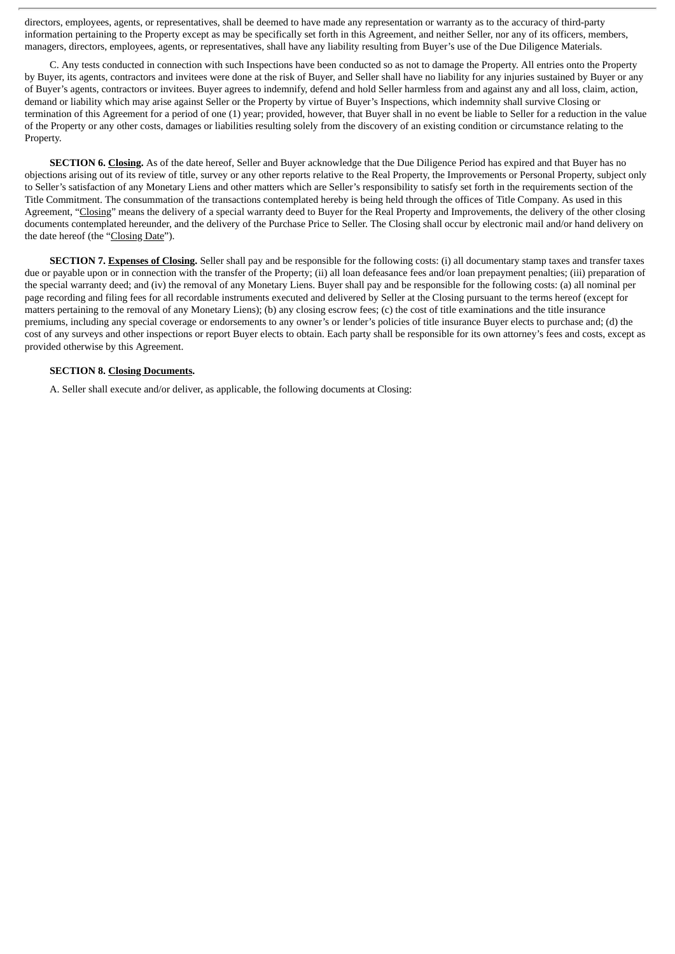directors, employees, agents, or representatives, shall be deemed to have made any representation or warranty as to the accuracy of third-party information pertaining to the Property except as may be specifically set forth in this Agreement, and neither Seller, nor any of its officers, members, managers, directors, employees, agents, or representatives, shall have any liability resulting from Buyer's use of the Due Diligence Materials.

C. Any tests conducted in connection with such Inspections have been conducted so as not to damage the Property. All entries onto the Property by Buyer, its agents, contractors and invitees were done at the risk of Buyer, and Seller shall have no liability for any injuries sustained by Buyer or any of Buyer's agents, contractors or invitees. Buyer agrees to indemnify, defend and hold Seller harmless from and against any and all loss, claim, action, demand or liability which may arise against Seller or the Property by virtue of Buyer's Inspections, which indemnity shall survive Closing or termination of this Agreement for a period of one (1) year; provided, however, that Buyer shall in no event be liable to Seller for a reduction in the value of the Property or any other costs, damages or liabilities resulting solely from the discovery of an existing condition or circumstance relating to the Property.

**SECTION 6. Closing.** As of the date hereof, Seller and Buyer acknowledge that the Due Diligence Period has expired and that Buyer has no objections arising out of its review of title, survey or any other reports relative to the Real Property, the Improvements or Personal Property, subject only to Seller's satisfaction of any Monetary Liens and other matters which are Seller's responsibility to satisfy set forth in the requirements section of the Title Commitment. The consummation of the transactions contemplated hereby is being held through the offices of Title Company. As used in this Agreement, "Closing" means the delivery of a special warranty deed to Buyer for the Real Property and Improvements, the delivery of the other closing documents contemplated hereunder, and the delivery of the Purchase Price to Seller. The Closing shall occur by electronic mail and/or hand delivery on the date hereof (the "Closing Date").

**SECTION 7. Expenses of Closing.** Seller shall pay and be responsible for the following costs: (i) all documentary stamp taxes and transfer taxes due or payable upon or in connection with the transfer of the Property; (ii) all loan defeasance fees and/or loan prepayment penalties; (iii) preparation of the special warranty deed; and (iv) the removal of any Monetary Liens. Buyer shall pay and be responsible for the following costs: (a) all nominal per page recording and filing fees for all recordable instruments executed and delivered by Seller at the Closing pursuant to the terms hereof (except for matters pertaining to the removal of any Monetary Liens); (b) any closing escrow fees; (c) the cost of title examinations and the title insurance premiums, including any special coverage or endorsements to any owner's or lender's policies of title insurance Buyer elects to purchase and; (d) the cost of any surveys and other inspections or report Buyer elects to obtain. Each party shall be responsible for its own attorney's fees and costs, except as provided otherwise by this Agreement.

#### **SECTION 8. Closing Documents.**

A. Seller shall execute and/or deliver, as applicable, the following documents at Closing: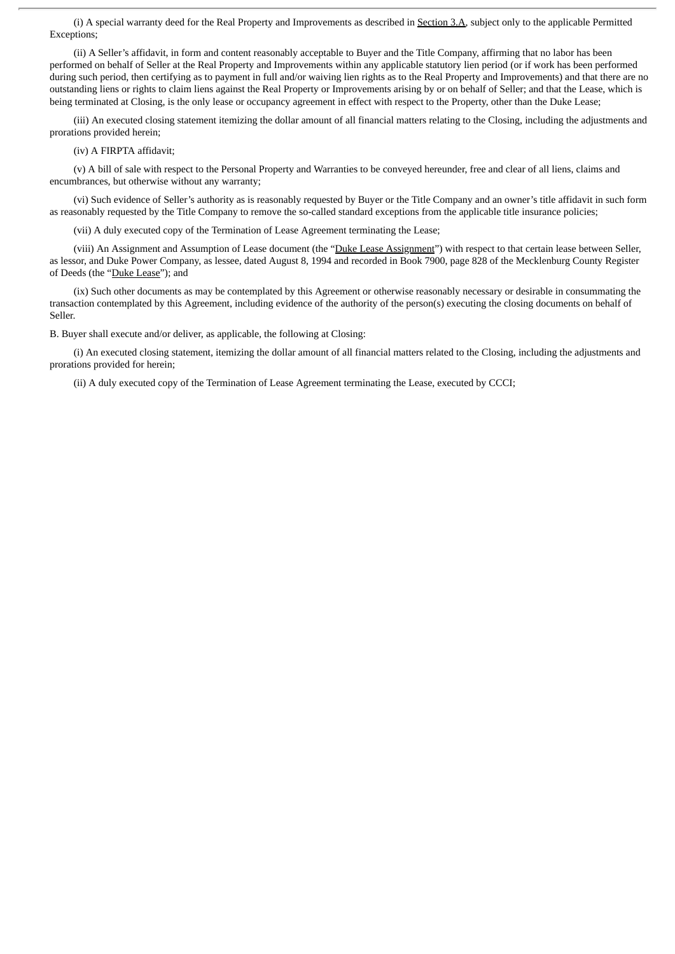(i) A special warranty deed for the Real Property and Improvements as described in Section 3.A, subject only to the applicable Permitted Exceptions;

(ii) A Seller's affidavit, in form and content reasonably acceptable to Buyer and the Title Company, affirming that no labor has been performed on behalf of Seller at the Real Property and Improvements within any applicable statutory lien period (or if work has been performed during such period, then certifying as to payment in full and/or waiving lien rights as to the Real Property and Improvements) and that there are no outstanding liens or rights to claim liens against the Real Property or Improvements arising by or on behalf of Seller; and that the Lease, which is being terminated at Closing, is the only lease or occupancy agreement in effect with respect to the Property, other than the Duke Lease;

(iii) An executed closing statement itemizing the dollar amount of all financial matters relating to the Closing, including the adjustments and prorations provided herein;

(iv) A FIRPTA affidavit;

(v) A bill of sale with respect to the Personal Property and Warranties to be conveyed hereunder, free and clear of all liens, claims and encumbrances, but otherwise without any warranty;

(vi) Such evidence of Seller's authority as is reasonably requested by Buyer or the Title Company and an owner's title affidavit in such form as reasonably requested by the Title Company to remove the so-called standard exceptions from the applicable title insurance policies;

(vii) A duly executed copy of the Termination of Lease Agreement terminating the Lease;

(viii) An Assignment and Assumption of Lease document (the "Duke Lease Assignment") with respect to that certain lease between Seller, as lessor, and Duke Power Company, as lessee, dated August 8, 1994 and recorded in Book 7900, page 828 of the Mecklenburg County Register of Deeds (the "Duke Lease"); and

(ix) Such other documents as may be contemplated by this Agreement or otherwise reasonably necessary or desirable in consummating the transaction contemplated by this Agreement, including evidence of the authority of the person(s) executing the closing documents on behalf of Seller.

B. Buyer shall execute and/or deliver, as applicable, the following at Closing:

(i) An executed closing statement, itemizing the dollar amount of all financial matters related to the Closing, including the adjustments and prorations provided for herein;

(ii) A duly executed copy of the Termination of Lease Agreement terminating the Lease, executed by CCCI;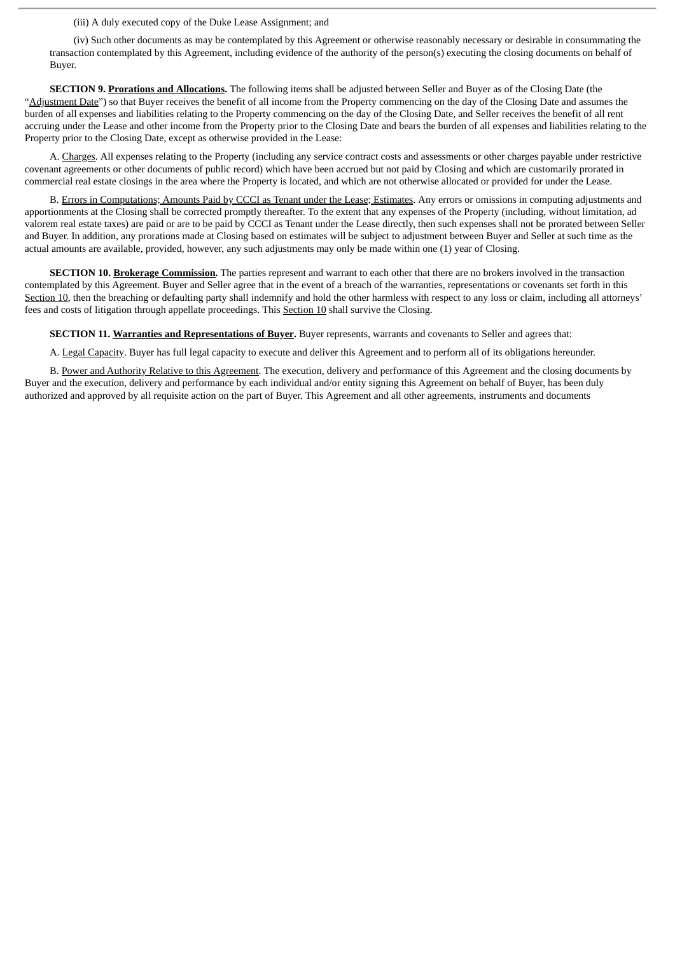(iii) A duly executed copy of the Duke Lease Assignment; and

(iv) Such other documents as may be contemplated by this Agreement or otherwise reasonably necessary or desirable in consummating the transaction contemplated by this Agreement, including evidence of the authority of the person(s) executing the closing documents on behalf of Buyer.

**SECTION 9. Prorations and Allocations.** The following items shall be adjusted between Seller and Buyer as of the Closing Date (the "Adjustment Date") so that Buyer receives the benefit of all income from the Property commencing on the day of the Closing Date and assumes the burden of all expenses and liabilities relating to the Property commencing on the day of the Closing Date, and Seller receives the benefit of all rent accruing under the Lease and other income from the Property prior to the Closing Date and bears the burden of all expenses and liabilities relating to the Property prior to the Closing Date, except as otherwise provided in the Lease:

A. Charges. All expenses relating to the Property (including any service contract costs and assessments or other charges payable under restrictive covenant agreements or other documents of public record) which have been accrued but not paid by Closing and which are customarily prorated in commercial real estate closings in the area where the Property is located, and which are not otherwise allocated or provided for under the Lease.

B. Errors in Computations; Amounts Paid by CCCI as Tenant under the Lease; Estimates. Any errors or omissions in computing adjustments and apportionments at the Closing shall be corrected promptly thereafter. To the extent that any expenses of the Property (including, without limitation, ad valorem real estate taxes) are paid or are to be paid by CCCI as Tenant under the Lease directly, then such expenses shall not be prorated between Seller and Buyer. In addition, any prorations made at Closing based on estimates will be subject to adjustment between Buyer and Seller at such time as the actual amounts are available, provided, however, any such adjustments may only be made within one (1) year of Closing.

**SECTION 10. Brokerage Commission.** The parties represent and warrant to each other that there are no brokers involved in the transaction contemplated by this Agreement. Buyer and Seller agree that in the event of a breach of the warranties, representations or covenants set forth in this Section 10, then the breaching or defaulting party shall indemnify and hold the other harmless with respect to any loss or claim, including all attorneys' fees and costs of litigation through appellate proceedings. This Section 10 shall survive the Closing.

**SECTION 11. Warranties and Representations of Buyer.** Buyer represents, warrants and covenants to Seller and agrees that:

A. Legal Capacity. Buyer has full legal capacity to execute and deliver this Agreement and to perform all of its obligations hereunder.

B. Power and Authority Relative to this Agreement. The execution, delivery and performance of this Agreement and the closing documents by Buyer and the execution, delivery and performance by each individual and/or entity signing this Agreement on behalf of Buyer, has been duly authorized and approved by all requisite action on the part of Buyer. This Agreement and all other agreements, instruments and documents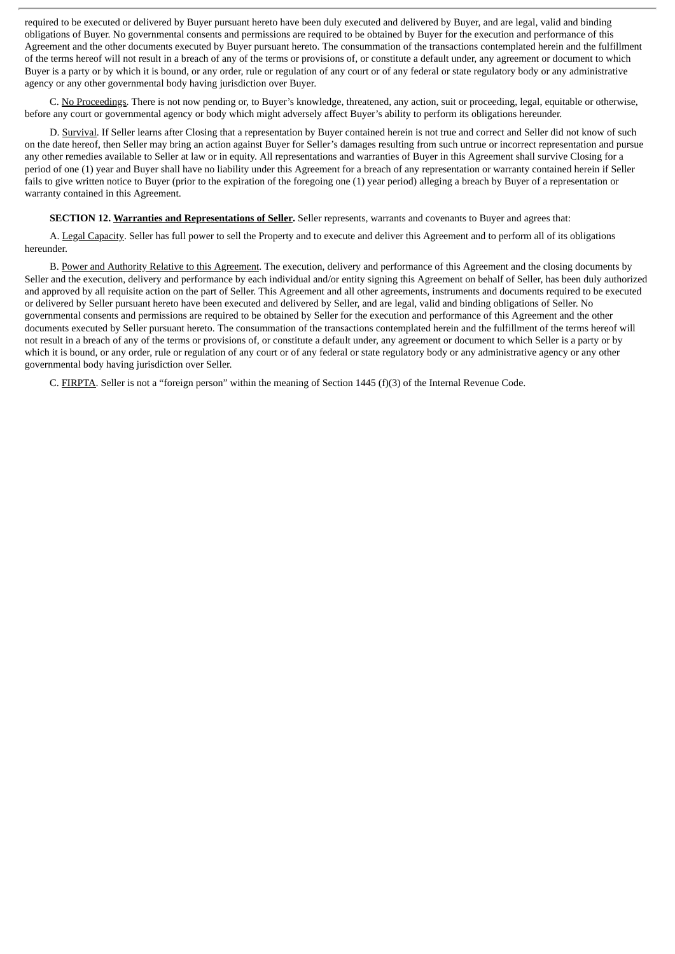required to be executed or delivered by Buyer pursuant hereto have been duly executed and delivered by Buyer, and are legal, valid and binding obligations of Buyer. No governmental consents and permissions are required to be obtained by Buyer for the execution and performance of this Agreement and the other documents executed by Buyer pursuant hereto. The consummation of the transactions contemplated herein and the fulfillment of the terms hereof will not result in a breach of any of the terms or provisions of, or constitute a default under, any agreement or document to which Buyer is a party or by which it is bound, or any order, rule or regulation of any court or of any federal or state regulatory body or any administrative agency or any other governmental body having jurisdiction over Buyer.

C. No Proceedings. There is not now pending or, to Buyer's knowledge, threatened, any action, suit or proceeding, legal, equitable or otherwise, before any court or governmental agency or body which might adversely affect Buyer's ability to perform its obligations hereunder.

D. Survival. If Seller learns after Closing that a representation by Buyer contained herein is not true and correct and Seller did not know of such on the date hereof, then Seller may bring an action against Buyer for Seller's damages resulting from such untrue or incorrect representation and pursue any other remedies available to Seller at law or in equity. All representations and warranties of Buyer in this Agreement shall survive Closing for a period of one (1) year and Buyer shall have no liability under this Agreement for a breach of any representation or warranty contained herein if Seller fails to give written notice to Buyer (prior to the expiration of the foregoing one (1) year period) alleging a breach by Buyer of a representation or warranty contained in this Agreement.

**SECTION 12. Warranties and Representations of Seller.** Seller represents, warrants and covenants to Buyer and agrees that:

A. Legal Capacity. Seller has full power to sell the Property and to execute and deliver this Agreement and to perform all of its obligations hereunder.

B. Power and Authority Relative to this Agreement. The execution, delivery and performance of this Agreement and the closing documents by Seller and the execution, delivery and performance by each individual and/or entity signing this Agreement on behalf of Seller, has been duly authorized and approved by all requisite action on the part of Seller. This Agreement and all other agreements, instruments and documents required to be executed or delivered by Seller pursuant hereto have been executed and delivered by Seller, and are legal, valid and binding obligations of Seller. No governmental consents and permissions are required to be obtained by Seller for the execution and performance of this Agreement and the other documents executed by Seller pursuant hereto. The consummation of the transactions contemplated herein and the fulfillment of the terms hereof will not result in a breach of any of the terms or provisions of, or constitute a default under, any agreement or document to which Seller is a party or by which it is bound, or any order, rule or regulation of any court or of any federal or state regulatory body or any administrative agency or any other governmental body having jurisdiction over Seller.

C. FIRPTA. Seller is not a "foreign person" within the meaning of Section 1445 (f)(3) of the Internal Revenue Code.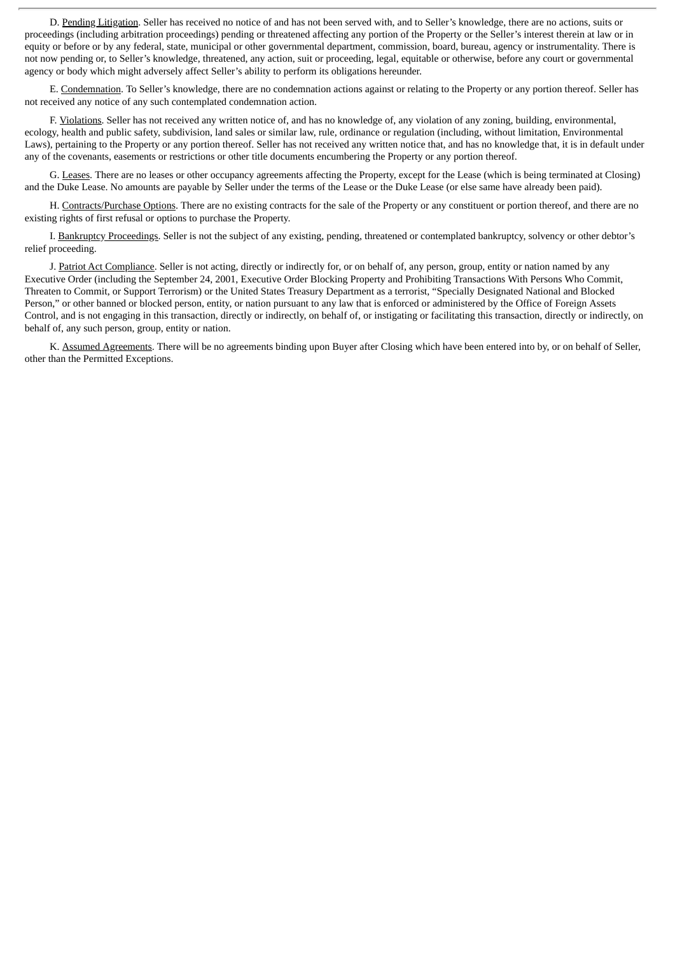D. Pending Litigation. Seller has received no notice of and has not been served with, and to Seller's knowledge, there are no actions, suits or proceedings (including arbitration proceedings) pending or threatened affecting any portion of the Property or the Seller's interest therein at law or in equity or before or by any federal, state, municipal or other governmental department, commission, board, bureau, agency or instrumentality. There is not now pending or, to Seller's knowledge, threatened, any action, suit or proceeding, legal, equitable or otherwise, before any court or governmental agency or body which might adversely affect Seller's ability to perform its obligations hereunder.

E. Condemnation. To Seller's knowledge, there are no condemnation actions against or relating to the Property or any portion thereof. Seller has not received any notice of any such contemplated condemnation action.

F. Violations. Seller has not received any written notice of, and has no knowledge of, any violation of any zoning, building, environmental, ecology, health and public safety, subdivision, land sales or similar law, rule, ordinance or regulation (including, without limitation, Environmental Laws), pertaining to the Property or any portion thereof. Seller has not received any written notice that, and has no knowledge that, it is in default under any of the covenants, easements or restrictions or other title documents encumbering the Property or any portion thereof.

G. Leases. There are no leases or other occupancy agreements affecting the Property, except for the Lease (which is being terminated at Closing) and the Duke Lease. No amounts are payable by Seller under the terms of the Lease or the Duke Lease (or else same have already been paid).

H. Contracts/Purchase Options. There are no existing contracts for the sale of the Property or any constituent or portion thereof, and there are no existing rights of first refusal or options to purchase the Property.

I. Bankruptcy Proceedings. Seller is not the subject of any existing, pending, threatened or contemplated bankruptcy, solvency or other debtor's relief proceeding.

J. Patriot Act Compliance. Seller is not acting, directly or indirectly for, or on behalf of, any person, group, entity or nation named by any Executive Order (including the September 24, 2001, Executive Order Blocking Property and Prohibiting Transactions With Persons Who Commit, Threaten to Commit, or Support Terrorism) or the United States Treasury Department as a terrorist, "Specially Designated National and Blocked Person," or other banned or blocked person, entity, or nation pursuant to any law that is enforced or administered by the Office of Foreign Assets Control, and is not engaging in this transaction, directly or indirectly, on behalf of, or instigating or facilitating this transaction, directly or indirectly, on behalf of, any such person, group, entity or nation.

K. Assumed Agreements. There will be no agreements binding upon Buyer after Closing which have been entered into by, or on behalf of Seller, other than the Permitted Exceptions.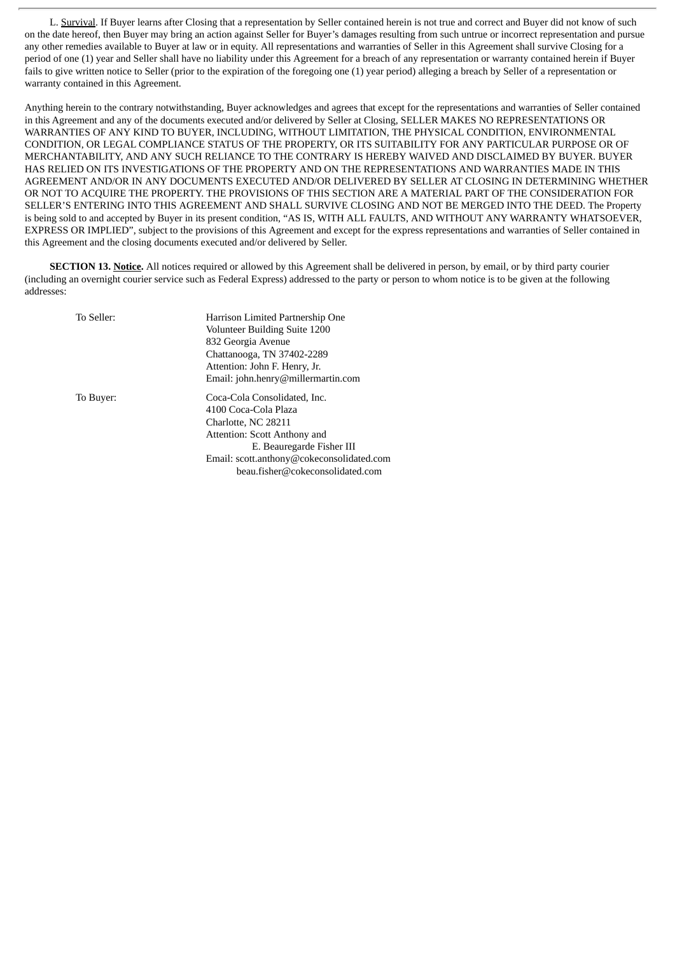L. Survival. If Buyer learns after Closing that a representation by Seller contained herein is not true and correct and Buyer did not know of such on the date hereof, then Buyer may bring an action against Seller for Buyer's damages resulting from such untrue or incorrect representation and pursue any other remedies available to Buyer at law or in equity. All representations and warranties of Seller in this Agreement shall survive Closing for a period of one (1) year and Seller shall have no liability under this Agreement for a breach of any representation or warranty contained herein if Buyer fails to give written notice to Seller (prior to the expiration of the foregoing one (1) year period) alleging a breach by Seller of a representation or warranty contained in this Agreement.

Anything herein to the contrary notwithstanding, Buyer acknowledges and agrees that except for the representations and warranties of Seller contained in this Agreement and any of the documents executed and/or delivered by Seller at Closing, SELLER MAKES NO REPRESENTATIONS OR WARRANTIES OF ANY KIND TO BUYER, INCLUDING, WITHOUT LIMITATION, THE PHYSICAL CONDITION, ENVIRONMENTAL CONDITION, OR LEGAL COMPLIANCE STATUS OF THE PROPERTY, OR ITS SUITABILITY FOR ANY PARTICULAR PURPOSE OR OF MERCHANTABILITY, AND ANY SUCH RELIANCE TO THE CONTRARY IS HEREBY WAIVED AND DISCLAIMED BY BUYER. BUYER HAS RELIED ON ITS INVESTIGATIONS OF THE PROPERTY AND ON THE REPRESENTATIONS AND WARRANTIES MADE IN THIS AGREEMENT AND/OR IN ANY DOCUMENTS EXECUTED AND/OR DELIVERED BY SELLER AT CLOSING IN DETERMINING WHETHER OR NOT TO ACQUIRE THE PROPERTY. THE PROVISIONS OF THIS SECTION ARE A MATERIAL PART OF THE CONSIDERATION FOR SELLER'S ENTERING INTO THIS AGREEMENT AND SHALL SURVIVE CLOSING AND NOT BE MERGED INTO THE DEED. The Property is being sold to and accepted by Buyer in its present condition, "AS IS, WITH ALL FAULTS, AND WITHOUT ANY WARRANTY WHATSOEVER, EXPRESS OR IMPLIED", subject to the provisions of this Agreement and except for the express representations and warranties of Seller contained in this Agreement and the closing documents executed and/or delivered by Seller.

**SECTION 13. Notice.** All notices required or allowed by this Agreement shall be delivered in person, by email, or by third party courier (including an overnight courier service such as Federal Express) addressed to the party or person to whom notice is to be given at the following addresses:

| To Seller: | Harrison Limited Partnership One          |
|------------|-------------------------------------------|
|            | Volunteer Building Suite 1200             |
|            | 832 Georgia Avenue                        |
|            | Chattanooga, TN 37402-2289                |
|            | Attention: John F. Henry, Jr.             |
|            | Email: john.henry@millermartin.com        |
| To Buyer:  | Coca-Cola Consolidated. Inc.              |
|            | 4100 Coca-Cola Plaza                      |
|            | Charlotte, NC 28211                       |
|            | Attention: Scott Anthony and              |
|            | E. Beauregarde Fisher III                 |
|            | Email: scott.anthony@cokeconsolidated.com |
|            | beau.fisher@cokeconsolidated.com          |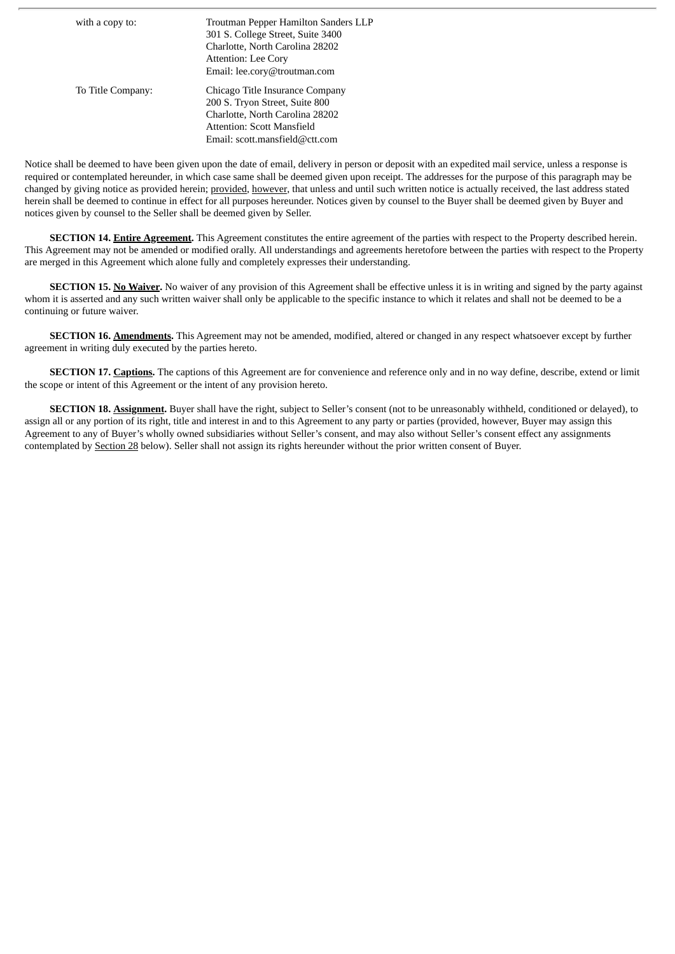| with a copy to:   | Troutman Pepper Hamilton Sanders LLP<br>301 S. College Street, Suite 3400<br>Charlotte, North Carolina 28202<br>Attention: Lee Cory<br>Email: lee.cory@troutman.com  |
|-------------------|----------------------------------------------------------------------------------------------------------------------------------------------------------------------|
| To Title Company: | Chicago Title Insurance Company<br>200 S. Tryon Street, Suite 800<br>Charlotte, North Carolina 28202<br>Attention: Scott Mansfield<br>Email: scott.mansfield@ctt.com |

Notice shall be deemed to have been given upon the date of email, delivery in person or deposit with an expedited mail service, unless a response is required or contemplated hereunder, in which case same shall be deemed given upon receipt. The addresses for the purpose of this paragraph may be changed by giving notice as provided herein; provided, however, that unless and until such written notice is actually received, the last address stated herein shall be deemed to continue in effect for all purposes hereunder. Notices given by counsel to the Buyer shall be deemed given by Buyer and notices given by counsel to the Seller shall be deemed given by Seller.

**SECTION 14. Entire Agreement.** This Agreement constitutes the entire agreement of the parties with respect to the Property described herein. This Agreement may not be amended or modified orally. All understandings and agreements heretofore between the parties with respect to the Property are merged in this Agreement which alone fully and completely expresses their understanding.

**SECTION 15. No Waiver.** No waiver of any provision of this Agreement shall be effective unless it is in writing and signed by the party against whom it is asserted and any such written waiver shall only be applicable to the specific instance to which it relates and shall not be deemed to be a continuing or future waiver.

**SECTION 16. Amendments.** This Agreement may not be amended, modified, altered or changed in any respect whatsoever except by further agreement in writing duly executed by the parties hereto.

**SECTION 17. Captions.** The captions of this Agreement are for convenience and reference only and in no way define, describe, extend or limit the scope or intent of this Agreement or the intent of any provision hereto.

**SECTION 18. Assignment.** Buyer shall have the right, subject to Seller's consent (not to be unreasonably withheld, conditioned or delayed), to assign all or any portion of its right, title and interest in and to this Agreement to any party or parties (provided, however, Buyer may assign this Agreement to any of Buyer's wholly owned subsidiaries without Seller's consent, and may also without Seller's consent effect any assignments contemplated by Section 28 below). Seller shall not assign its rights hereunder without the prior written consent of Buyer.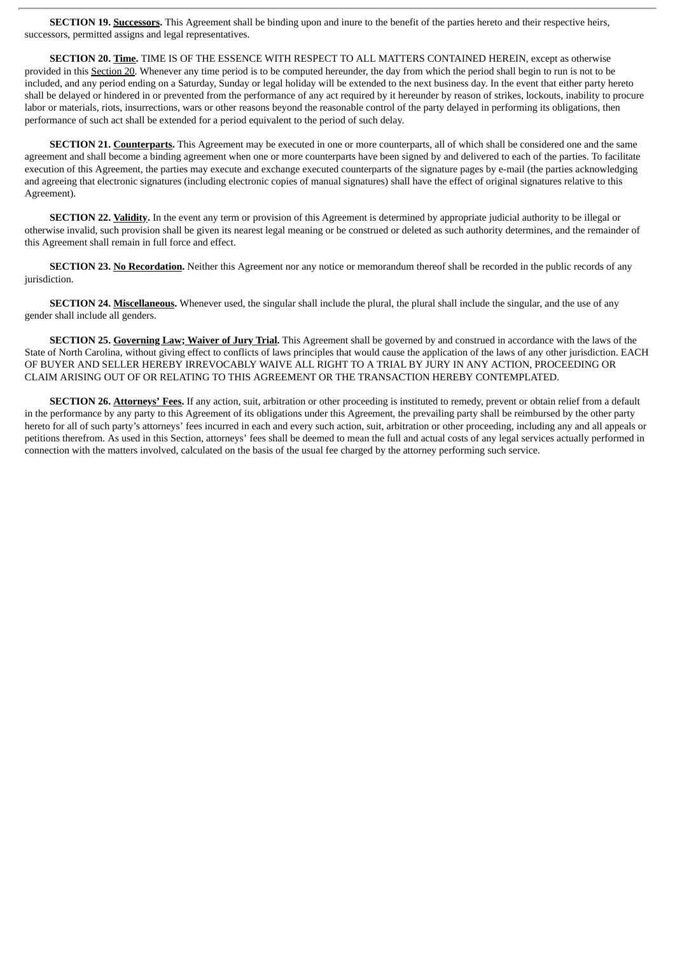**SECTION 19. Successors.** This Agreement shall be binding upon and inure to the benefit of the parties hereto and their respective heirs, successors, permitted assigns and legal representatives.

**SECTION 20. Time.** TIME IS OF THE ESSENCE WITH RESPECT TO ALL MATTERS CONTAINED HEREIN, except as otherwise provided in this Section 20. Whenever any time period is to be computed hereunder, the day from which the period shall begin to run is not to be included, and any period ending on a Saturday, Sunday or legal holiday will be extended to the next business day. In the event that either party hereto shall be delayed or hindered in or prevented from the performance of any act required by it hereunder by reason of strikes, lockouts, inability to procure labor or materials, riots, insurrections, wars or other reasons beyond the reasonable control of the party delayed in performing its obligations, then performance of such act shall be extended for a period equivalent to the period of such delay.

**SECTION 21. Counterparts.** This Agreement may be executed in one or more counterparts, all of which shall be considered one and the same agreement and shall become a binding agreement when one or more counterparts have been signed by and delivered to each of the parties. To facilitate execution of this Agreement, the parties may execute and exchange executed counterparts of the signature pages by e-mail (the parties acknowledging and agreeing that electronic signatures (including electronic copies of manual signatures) shall have the effect of original signatures relative to this Agreement).

**SECTION 22. Validity.** In the event any term or provision of this Agreement is determined by appropriate judicial authority to be illegal or otherwise invalid, such provision shall be given its nearest legal meaning or be construed or deleted as such authority determines, and the remainder of this Agreement shall remain in full force and effect.

**SECTION 23. No Recordation.** Neither this Agreement nor any notice or memorandum thereof shall be recorded in the public records of any jurisdiction.

**SECTION 24. Miscellaneous.** Whenever used, the singular shall include the plural, the plural shall include the singular, and the use of any gender shall include all genders.

**SECTION 25. Governing Law; Waiver of Jury Trial.** This Agreement shall be governed by and construed in accordance with the laws of the State of North Carolina, without giving effect to conflicts of laws principles that would cause the application of the laws of any other jurisdiction. EACH OF BUYER AND SELLER HEREBY IRREVOCABLY WAIVE ALL RIGHT TO A TRIAL BY JURY IN ANY ACTION, PROCEEDING OR CLAIM ARISING OUT OF OR RELATING TO THIS AGREEMENT OR THE TRANSACTION HEREBY CONTEMPLATED.

**SECTION 26. Attorneys' Fees.** If any action, suit, arbitration or other proceeding is instituted to remedy, prevent or obtain relief from a default in the performance by any party to this Agreement of its obligations under this Agreement, the prevailing party shall be reimbursed by the other party hereto for all of such party's attorneys' fees incurred in each and every such action, suit, arbitration or other proceeding, including any and all appeals or petitions therefrom. As used in this Section, attorneys' fees shall be deemed to mean the full and actual costs of any legal services actually performed in connection with the matters involved, calculated on the basis of the usual fee charged by the attorney performing such service.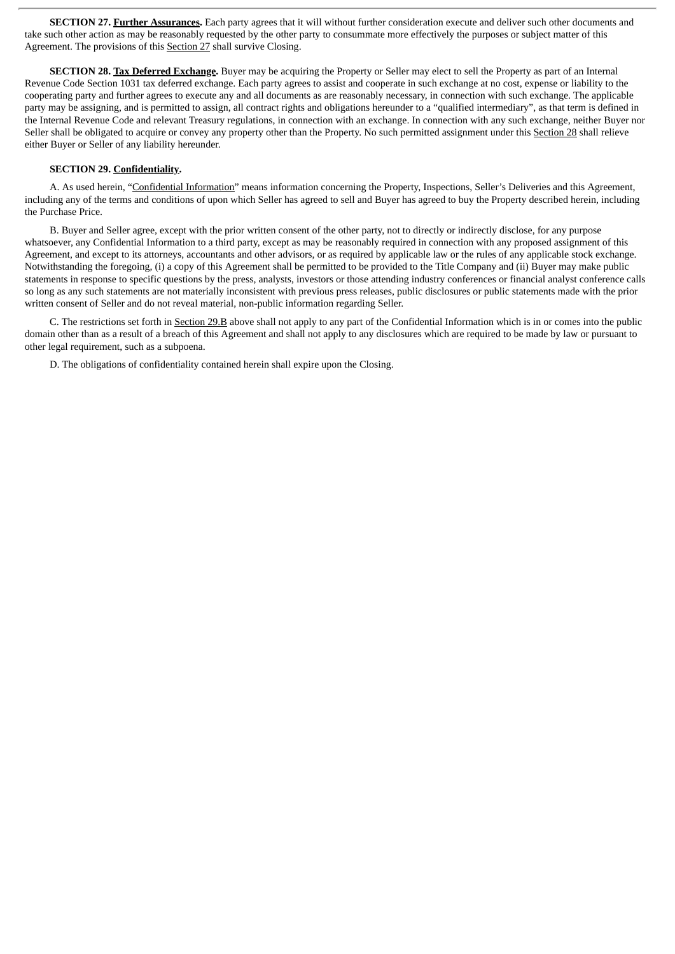**SECTION 27. Further Assurances.** Each party agrees that it will without further consideration execute and deliver such other documents and take such other action as may be reasonably requested by the other party to consummate more effectively the purposes or subject matter of this Agreement. The provisions of this Section 27 shall survive Closing.

**SECTION 28. Tax Deferred Exchange.** Buyer may be acquiring the Property or Seller may elect to sell the Property as part of an Internal Revenue Code Section 1031 tax deferred exchange. Each party agrees to assist and cooperate in such exchange at no cost, expense or liability to the cooperating party and further agrees to execute any and all documents as are reasonably necessary, in connection with such exchange. The applicable party may be assigning, and is permitted to assign, all contract rights and obligations hereunder to a "qualified intermediary", as that term is defined in the Internal Revenue Code and relevant Treasury regulations, in connection with an exchange. In connection with any such exchange, neither Buyer nor Seller shall be obligated to acquire or convey any property other than the Property. No such permitted assignment under this Section 28 shall relieve either Buyer or Seller of any liability hereunder.

# **SECTION 29. Confidentiality.**

A. As used herein, "Confidential Information" means information concerning the Property, Inspections, Seller's Deliveries and this Agreement, including any of the terms and conditions of upon which Seller has agreed to sell and Buyer has agreed to buy the Property described herein, including the Purchase Price.

B. Buyer and Seller agree, except with the prior written consent of the other party, not to directly or indirectly disclose, for any purpose whatsoever, any Confidential Information to a third party, except as may be reasonably required in connection with any proposed assignment of this Agreement, and except to its attorneys, accountants and other advisors, or as required by applicable law or the rules of any applicable stock exchange. Notwithstanding the foregoing, (i) a copy of this Agreement shall be permitted to be provided to the Title Company and (ii) Buyer may make public statements in response to specific questions by the press, analysts, investors or those attending industry conferences or financial analyst conference calls so long as any such statements are not materially inconsistent with previous press releases, public disclosures or public statements made with the prior written consent of Seller and do not reveal material, non-public information regarding Seller.

C. The restrictions set forth in Section 29.B above shall not apply to any part of the Confidential Information which is in or comes into the public domain other than as a result of a breach of this Agreement and shall not apply to any disclosures which are required to be made by law or pursuant to other legal requirement, such as a subpoena.

D. The obligations of confidentiality contained herein shall expire upon the Closing.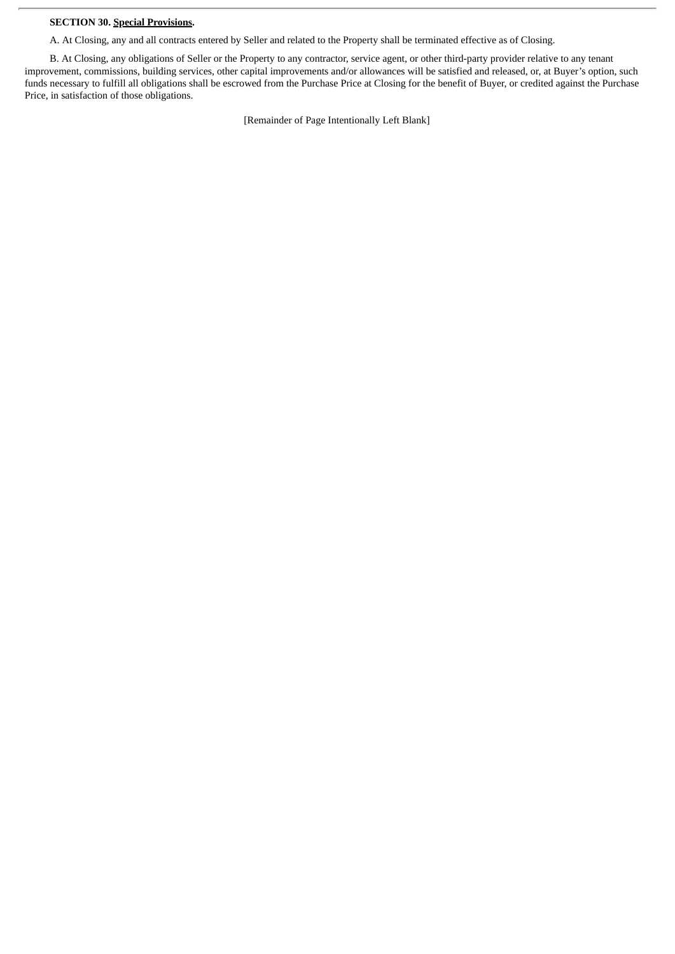## **SECTION 30. Special Provisions.**

A. At Closing, any and all contracts entered by Seller and related to the Property shall be terminated effective as of Closing.

B. At Closing, any obligations of Seller or the Property to any contractor, service agent, or other third-party provider relative to any tenant improvement, commissions, building services, other capital improvements and/or allowances will be satisfied and released, or, at Buyer's option, such funds necessary to fulfill all obligations shall be escrowed from the Purchase Price at Closing for the benefit of Buyer, or credited against the Purchase Price, in satisfaction of those obligations.

[Remainder of Page Intentionally Left Blank]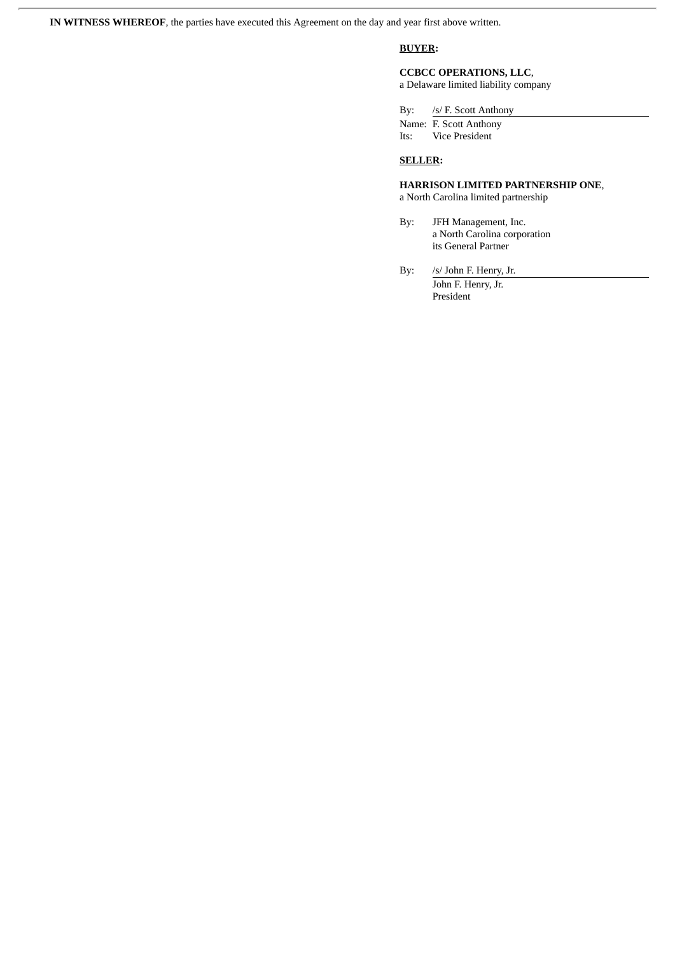**IN WITNESS WHEREOF**, the parties have executed this Agreement on the day and year first above written.

# **BUYER:**

**CCBCC OPERATIONS, LLC**, a Delaware limited liability company

By: /s/ F. Scott Anthony Name: F. Scott Anthony Its: Vice President

# **SELLER:**

**HARRISON LIMITED PARTNERSHIP ONE**, a North Carolina limited partnership

- By: JFH Management, Inc. a North Carolina corporation its General Partner
- By: /s/ John F. Henry, Jr. John F. Henry, Jr. President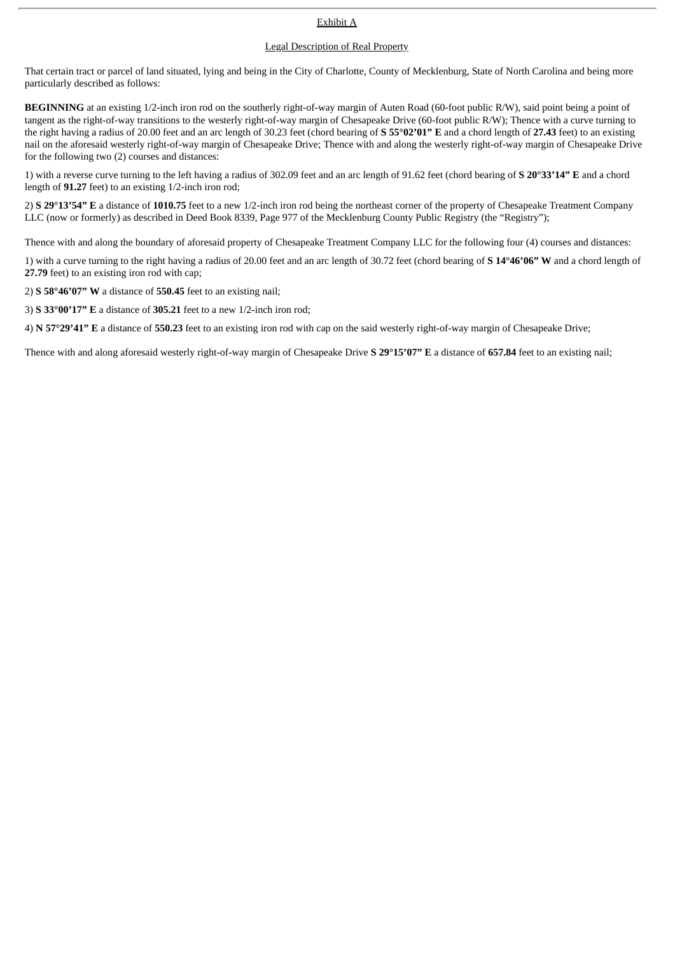## Exhibit A

#### Legal Description of Real Property

That certain tract or parcel of land situated, lying and being in the City of Charlotte, County of Mecklenburg, State of North Carolina and being more particularly described as follows:

**BEGINNING** at an existing 1/2-inch iron rod on the southerly right-of-way margin of Auten Road (60-foot public R/W), said point being a point of tangent as the right-of-way transitions to the westerly right-of-way margin of Chesapeake Drive (60-foot public R/W); Thence with a curve turning to the right having a radius of 20.00 feet and an arc length of 30.23 feet (chord bearing of **S 55°02'01" E** and a chord length of **27.43** feet) to an existing nail on the aforesaid westerly right-of-way margin of Chesapeake Drive; Thence with and along the westerly right-of-way margin of Chesapeake Drive for the following two (2) courses and distances:

1) with a reverse curve turning to the left having a radius of 302.09 feet and an arc length of 91.62 feet (chord bearing of **S 20°33'14" E** and a chord length of **91.27** feet) to an existing 1/2-inch iron rod;

2) **S 29°13'54" E** a distance of **1010.75** feet to a new 1/2-inch iron rod being the northeast corner of the property of Chesapeake Treatment Company LLC (now or formerly) as described in Deed Book 8339, Page 977 of the Mecklenburg County Public Registry (the "Registry");

Thence with and along the boundary of aforesaid property of Chesapeake Treatment Company LLC for the following four (4) courses and distances:

1) with a curve turning to the right having a radius of 20.00 feet and an arc length of 30.72 feet (chord bearing of **S 14°46'06" W** and a chord length of **27.79** feet) to an existing iron rod with cap;

2) **S 58°46'07" W** a distance of **550.45** feet to an existing nail;

3) **S 33°00'17" E** a distance of **305.21** feet to a new 1/2-inch iron rod;

4) **N 57°29'41" E** a distance of **550.23** feet to an existing iron rod with cap on the said westerly right-of-way margin of Chesapeake Drive;

Thence with and along aforesaid westerly right-of-way margin of Chesapeake Drive **S 29°15'07" E** a distance of **657.84** feet to an existing nail;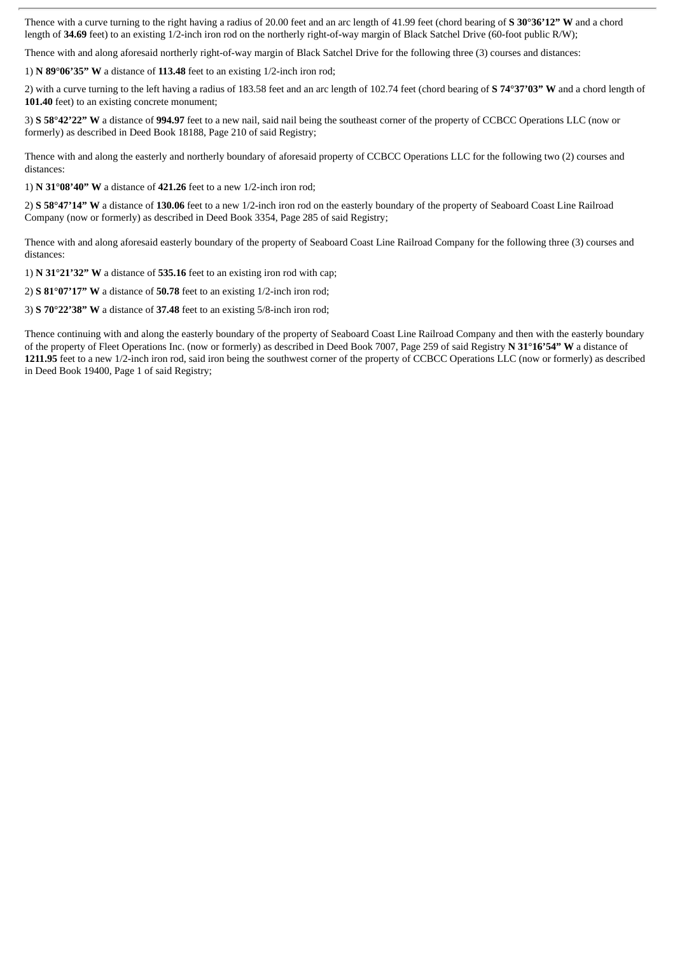Thence with a curve turning to the right having a radius of 20.00 feet and an arc length of 41.99 feet (chord bearing of **S 30°36'12" W** and a chord length of **34.69** feet) to an existing 1/2-inch iron rod on the northerly right-of-way margin of Black Satchel Drive (60-foot public R/W);

Thence with and along aforesaid northerly right-of-way margin of Black Satchel Drive for the following three (3) courses and distances:

1) **N 89°06'35" W** a distance of **113.48** feet to an existing 1/2-inch iron rod;

2) with a curve turning to the left having a radius of 183.58 feet and an arc length of 102.74 feet (chord bearing of **S 74°37'03" W** and a chord length of **101.40** feet) to an existing concrete monument;

3) **S 58°42'22" W** a distance of **994.97** feet to a new nail, said nail being the southeast corner of the property of CCBCC Operations LLC (now or formerly) as described in Deed Book 18188, Page 210 of said Registry;

Thence with and along the easterly and northerly boundary of aforesaid property of CCBCC Operations LLC for the following two (2) courses and distances:

1) **N 31°08'40" W** a distance of **421.26** feet to a new 1/2-inch iron rod;

2) **S 58°47'14" W** a distance of **130.06** feet to a new 1/2-inch iron rod on the easterly boundary of the property of Seaboard Coast Line Railroad Company (now or formerly) as described in Deed Book 3354, Page 285 of said Registry;

Thence with and along aforesaid easterly boundary of the property of Seaboard Coast Line Railroad Company for the following three (3) courses and distances:

1) **N 31°21'32" W** a distance of **535.16** feet to an existing iron rod with cap;

2) **S 81°07'17" W** a distance of **50.78** feet to an existing 1/2-inch iron rod;

3) **S 70°22'38" W** a distance of **37.48** feet to an existing 5/8-inch iron rod;

Thence continuing with and along the easterly boundary of the property of Seaboard Coast Line Railroad Company and then with the easterly boundary of the property of Fleet Operations Inc. (now or formerly) as described in Deed Book 7007, Page 259 of said Registry **N 31°16'54" W** a distance of **1211.95** feet to a new 1/2-inch iron rod, said iron being the southwest corner of the property of CCBCC Operations LLC (now or formerly) as described in Deed Book 19400, Page 1 of said Registry;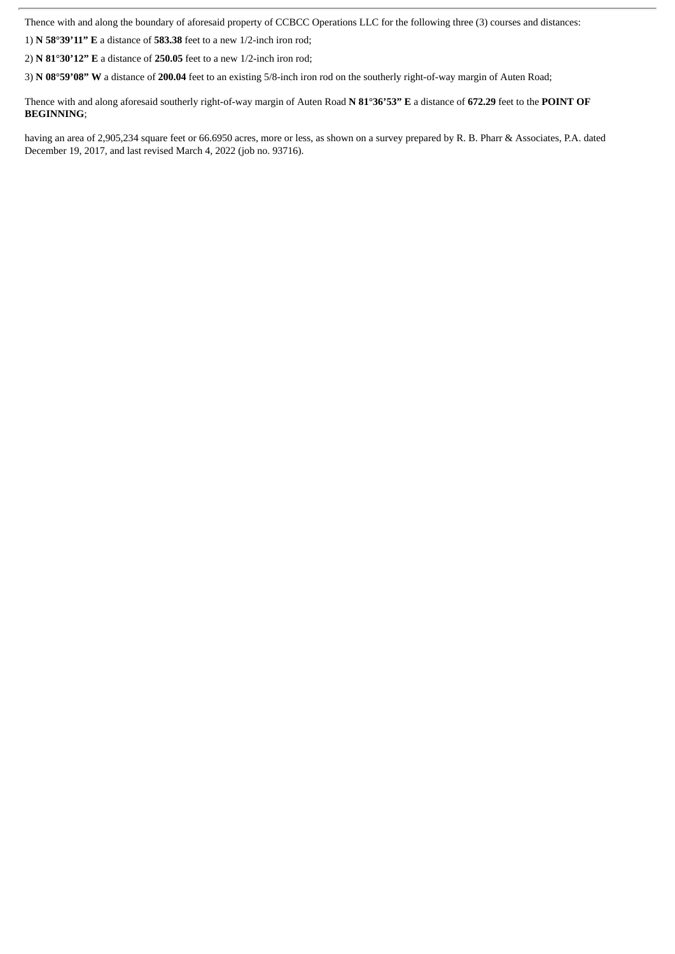Thence with and along the boundary of aforesaid property of CCBCC Operations LLC for the following three (3) courses and distances:

1) **N 58°39'11" E** a distance of **583.38** feet to a new 1/2-inch iron rod;

2) **N 81°30'12" E** a distance of **250.05** feet to a new 1/2-inch iron rod;

3) **N 08°59'08" W** a distance of **200.04** feet to an existing 5/8-inch iron rod on the southerly right-of-way margin of Auten Road;

Thence with and along aforesaid southerly right-of-way margin of Auten Road **N 81°36'53" E** a distance of **672.29** feet to the **POINT OF BEGINNING**;

having an area of 2,905,234 square feet or 66.6950 acres, more or less, as shown on a survey prepared by R. B. Pharr & Associates, P.A. dated December 19, 2017, and last revised March 4, 2022 (job no. 93716).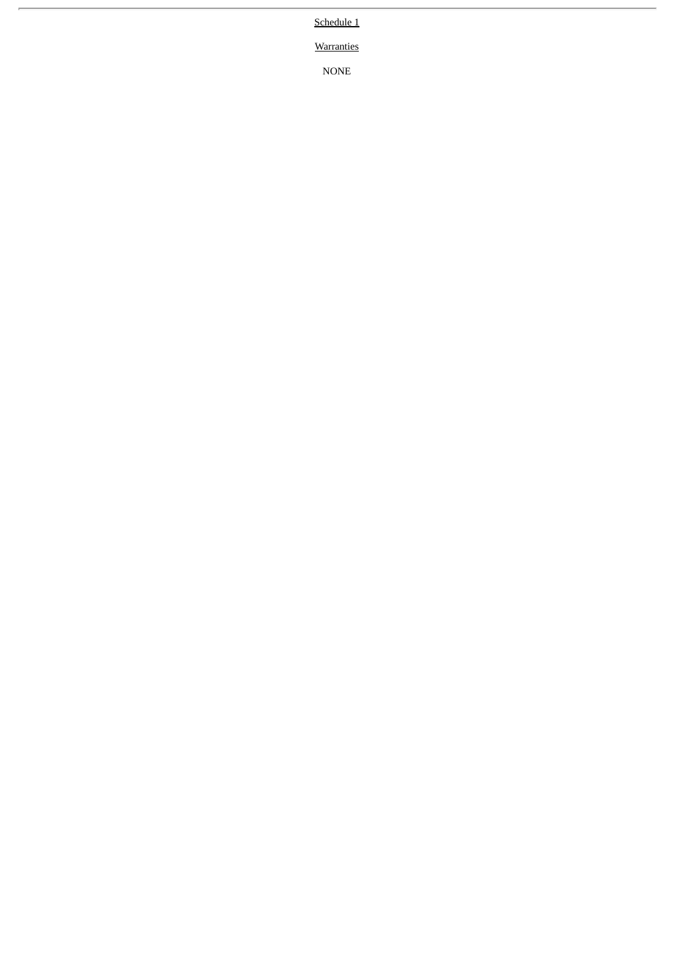Schedule 1

**Warranties** 

NONE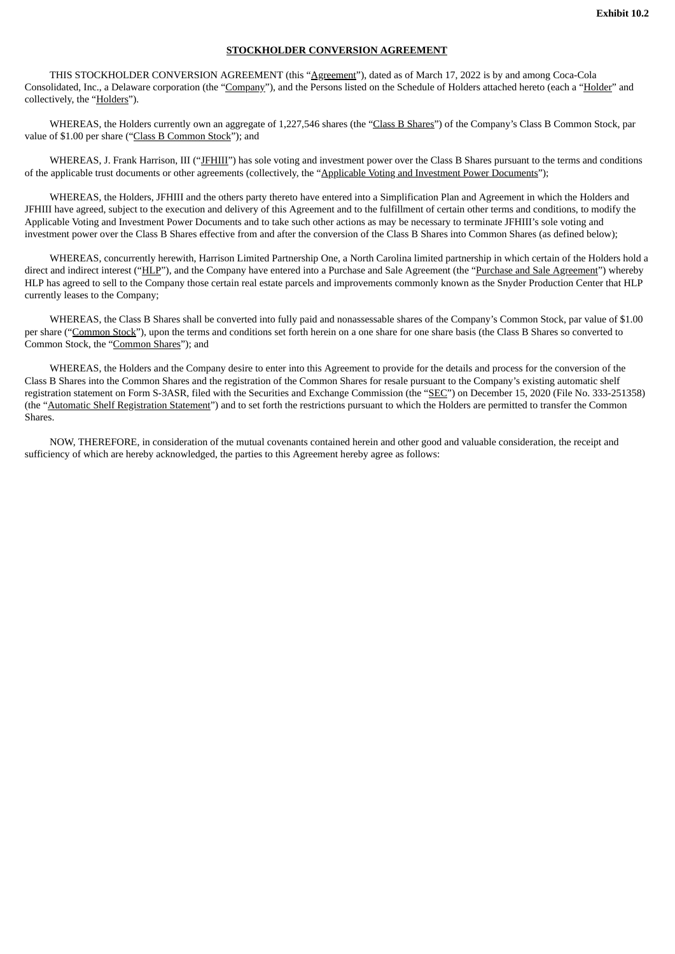#### **STOCKHOLDER CONVERSION AGREEMENT**

<span id="page-23-0"></span>THIS STOCKHOLDER CONVERSION AGREEMENT (this "Agreement"), dated as of March 17, 2022 is by and among Coca-Cola Consolidated, Inc., a Delaware corporation (the "Company"), and the Persons listed on the Schedule of Holders attached hereto (each a "Holder" and collectively, the "Holders").

WHEREAS, the Holders currently own an aggregate of 1,227,546 shares (the "Class B Shares") of the Company's Class B Common Stock, par value of \$1.00 per share ("Class B Common Stock"); and

WHEREAS, J. Frank Harrison, III ("JFHIII") has sole voting and investment power over the Class B Shares pursuant to the terms and conditions of the applicable trust documents or other agreements (collectively, the "Applicable Voting and Investment Power Documents");

WHEREAS, the Holders, JFHIII and the others party thereto have entered into a Simplification Plan and Agreement in which the Holders and JFHIII have agreed, subject to the execution and delivery of this Agreement and to the fulfillment of certain other terms and conditions, to modify the Applicable Voting and Investment Power Documents and to take such other actions as may be necessary to terminate JFHIII's sole voting and investment power over the Class B Shares effective from and after the conversion of the Class B Shares into Common Shares (as defined below);

WHEREAS, concurrently herewith, Harrison Limited Partnership One, a North Carolina limited partnership in which certain of the Holders hold a direct and indirect interest ("HLP"), and the Company have entered into a Purchase and Sale Agreement (the "Purchase and Sale Agreement") whereby HLP has agreed to sell to the Company those certain real estate parcels and improvements commonly known as the Snyder Production Center that HLP currently leases to the Company;

WHEREAS, the Class B Shares shall be converted into fully paid and nonassessable shares of the Company's Common Stock, par value of \$1.00 per share ("Common Stock"), upon the terms and conditions set forth herein on a one share for one share basis (the Class B Shares so converted to Common Stock, the "Common Shares"); and

WHEREAS, the Holders and the Company desire to enter into this Agreement to provide for the details and process for the conversion of the Class B Shares into the Common Shares and the registration of the Common Shares for resale pursuant to the Company's existing automatic shelf registration statement on Form S-3ASR, filed with the Securities and Exchange Commission (the "SEC") on December 15, 2020 (File No. 333-251358) (the "Automatic Shelf Registration Statement") and to set forth the restrictions pursuant to which the Holders are permitted to transfer the Common Shares.

NOW, THEREFORE, in consideration of the mutual covenants contained herein and other good and valuable consideration, the receipt and sufficiency of which are hereby acknowledged, the parties to this Agreement hereby agree as follows: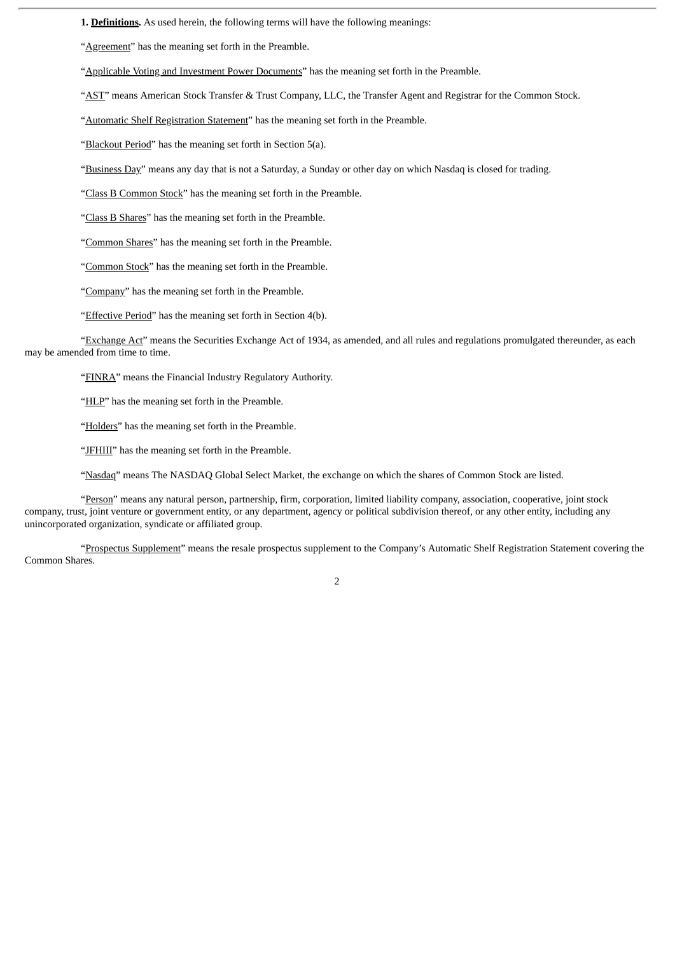**1. Definitions.** As used herein, the following terms will have the following meanings:

"Agreement" has the meaning set forth in the Preamble.

"Applicable Voting and Investment Power Documents" has the meaning set forth in the Preamble.

"AST" means American Stock Transfer & Trust Company, LLC, the Transfer Agent and Registrar for the Common Stock.

"Automatic Shelf Registration Statement" has the meaning set forth in the Preamble.

"Blackout Period" has the meaning set forth in Section 5(a).

"Business Day" means any day that is not a Saturday, a Sunday or other day on which Nasdaq is closed for trading.

"Class B Common Stock" has the meaning set forth in the Preamble.

"Class B Shares" has the meaning set forth in the Preamble.

"Common Shares" has the meaning set forth in the Preamble.

"Common Stock" has the meaning set forth in the Preamble.

"Company" has the meaning set forth in the Preamble.

"Effective Period" has the meaning set forth in Section 4(b).

"Exchange Act" means the Securities Exchange Act of 1934, as amended, and all rules and regulations promulgated thereunder, as each may be amended from time to time.

"FINRA" means the Financial Industry Regulatory Authority.

"HLP" has the meaning set forth in the Preamble.

"Holders" has the meaning set forth in the Preamble.

"JEHIII" has the meaning set forth in the Preamble.

"Nasdaq" means The NASDAQ Global Select Market, the exchange on which the shares of Common Stock are listed.

"Person" means any natural person, partnership, firm, corporation, limited liability company, association, cooperative, joint stock company, trust, joint venture or government entity, or any department, agency or political subdivision thereof, or any other entity, including any unincorporated organization, syndicate or affiliated group.

"Prospectus Supplement" means the resale prospectus supplement to the Company's Automatic Shelf Registration Statement covering the Common Shares.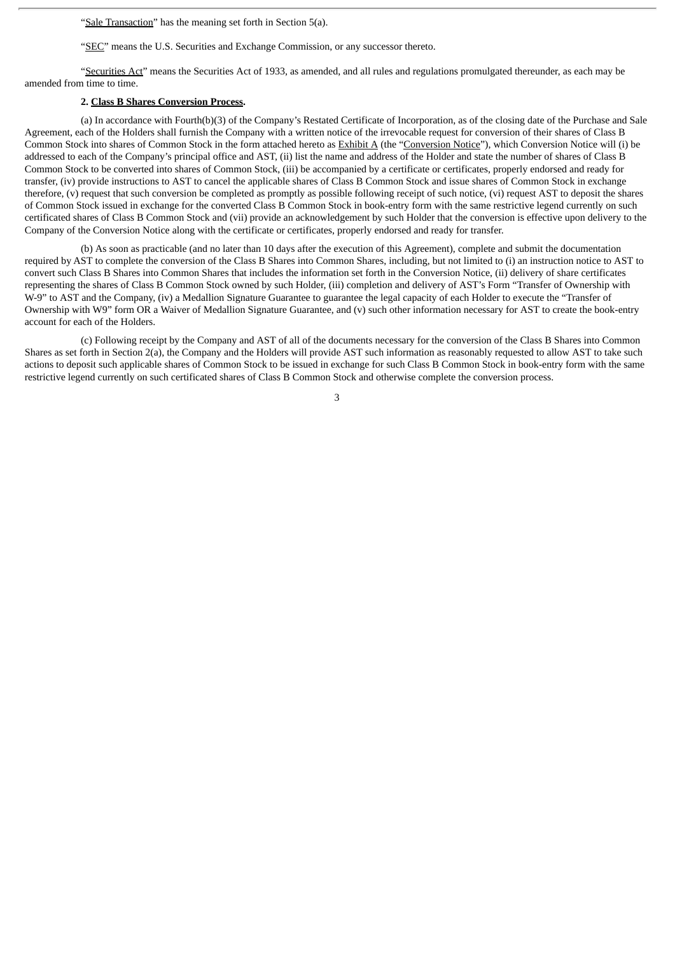"Sale Transaction" has the meaning set forth in Section 5(a).

"SEC" means the U.S. Securities and Exchange Commission, or any successor thereto.

"Securities Act" means the Securities Act of 1933, as amended, and all rules and regulations promulgated thereunder, as each may be amended from time to time.

#### **2. Class B Shares Conversion Process.**

(a) In accordance with Fourth(b)(3) of the Company's Restated Certificate of Incorporation, as of the closing date of the Purchase and Sale Agreement, each of the Holders shall furnish the Company with a written notice of the irrevocable request for conversion of their shares of Class B Common Stock into shares of Common Stock in the form attached hereto as **Exhibit A** (the "Conversion Notice"), which Conversion Notice will (i) be addressed to each of the Company's principal office and AST, (ii) list the name and address of the Holder and state the number of shares of Class B Common Stock to be converted into shares of Common Stock, (iii) be accompanied by a certificate or certificates, properly endorsed and ready for transfer, (iv) provide instructions to AST to cancel the applicable shares of Class B Common Stock and issue shares of Common Stock in exchange therefore, (v) request that such conversion be completed as promptly as possible following receipt of such notice, (vi) request AST to deposit the shares of Common Stock issued in exchange for the converted Class B Common Stock in book-entry form with the same restrictive legend currently on such certificated shares of Class B Common Stock and (vii) provide an acknowledgement by such Holder that the conversion is effective upon delivery to the Company of the Conversion Notice along with the certificate or certificates, properly endorsed and ready for transfer.

(b) As soon as practicable (and no later than 10 days after the execution of this Agreement), complete and submit the documentation required by AST to complete the conversion of the Class B Shares into Common Shares, including, but not limited to (i) an instruction notice to AST to convert such Class B Shares into Common Shares that includes the information set forth in the Conversion Notice, (ii) delivery of share certificates representing the shares of Class B Common Stock owned by such Holder, (iii) completion and delivery of AST's Form "Transfer of Ownership with W-9" to AST and the Company, (iv) a Medallion Signature Guarantee to guarantee the legal capacity of each Holder to execute the "Transfer of Ownership with W9" form OR a Waiver of Medallion Signature Guarantee, and (v) such other information necessary for AST to create the book-entry account for each of the Holders.

(c) Following receipt by the Company and AST of all of the documents necessary for the conversion of the Class B Shares into Common Shares as set forth in Section 2(a), the Company and the Holders will provide AST such information as reasonably requested to allow AST to take such actions to deposit such applicable shares of Common Stock to be issued in exchange for such Class B Common Stock in book-entry form with the same restrictive legend currently on such certificated shares of Class B Common Stock and otherwise complete the conversion process.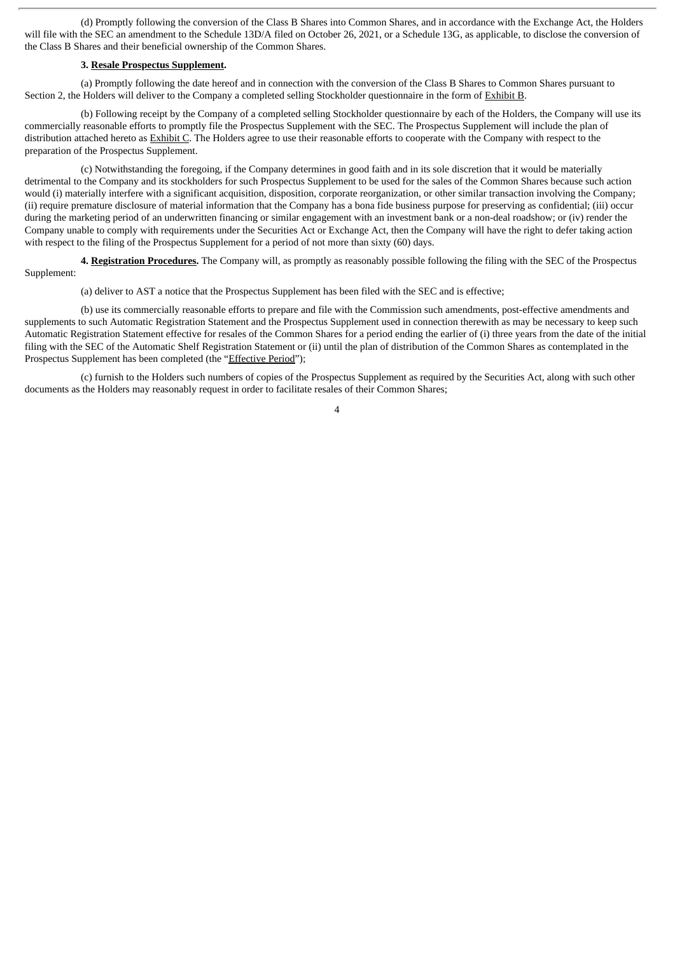(d) Promptly following the conversion of the Class B Shares into Common Shares, and in accordance with the Exchange Act, the Holders will file with the SEC an amendment to the Schedule 13D/A filed on October 26, 2021, or a Schedule 13G, as applicable, to disclose the conversion of the Class B Shares and their beneficial ownership of the Common Shares.

#### **3. Resale Prospectus Supplement.**

(a) Promptly following the date hereof and in connection with the conversion of the Class B Shares to Common Shares pursuant to Section 2, the Holders will deliver to the Company a completed selling Stockholder questionnaire in the form of Exhibit B.

(b) Following receipt by the Company of a completed selling Stockholder questionnaire by each of the Holders, the Company will use its commercially reasonable efforts to promptly file the Prospectus Supplement with the SEC. The Prospectus Supplement will include the plan of distribution attached hereto as Exhibit C. The Holders agree to use their reasonable efforts to cooperate with the Company with respect to the preparation of the Prospectus Supplement.

(c) Notwithstanding the foregoing, if the Company determines in good faith and in its sole discretion that it would be materially detrimental to the Company and its stockholders for such Prospectus Supplement to be used for the sales of the Common Shares because such action would (i) materially interfere with a significant acquisition, disposition, corporate reorganization, or other similar transaction involving the Company; (ii) require premature disclosure of material information that the Company has a bona fide business purpose for preserving as confidential; (iii) occur during the marketing period of an underwritten financing or similar engagement with an investment bank or a non-deal roadshow; or (iv) render the Company unable to comply with requirements under the Securities Act or Exchange Act, then the Company will have the right to defer taking action with respect to the filing of the Prospectus Supplement for a period of not more than sixty (60) days.

**4. Registration Procedures.** The Company will, as promptly as reasonably possible following the filing with the SEC of the Prospectus Supplement:

(a) deliver to AST a notice that the Prospectus Supplement has been filed with the SEC and is effective;

(b) use its commercially reasonable efforts to prepare and file with the Commission such amendments, post-effective amendments and supplements to such Automatic Registration Statement and the Prospectus Supplement used in connection therewith as may be necessary to keep such Automatic Registration Statement effective for resales of the Common Shares for a period ending the earlier of (i) three years from the date of the initial filing with the SEC of the Automatic Shelf Registration Statement or (ii) until the plan of distribution of the Common Shares as contemplated in the Prospectus Supplement has been completed (the "Effective Period");

(c) furnish to the Holders such numbers of copies of the Prospectus Supplement as required by the Securities Act, along with such other documents as the Holders may reasonably request in order to facilitate resales of their Common Shares;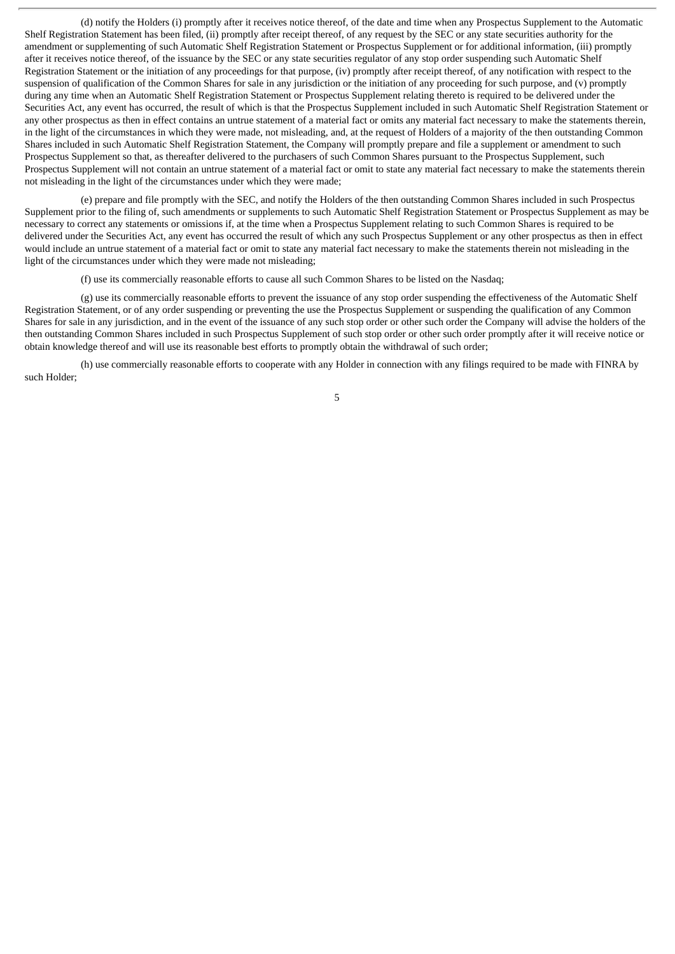(d) notify the Holders (i) promptly after it receives notice thereof, of the date and time when any Prospectus Supplement to the Automatic Shelf Registration Statement has been filed, (ii) promptly after receipt thereof, of any request by the SEC or any state securities authority for the amendment or supplementing of such Automatic Shelf Registration Statement or Prospectus Supplement or for additional information, (iii) promptly after it receives notice thereof, of the issuance by the SEC or any state securities regulator of any stop order suspending such Automatic Shelf Registration Statement or the initiation of any proceedings for that purpose, (iv) promptly after receipt thereof, of any notification with respect to the suspension of qualification of the Common Shares for sale in any jurisdiction or the initiation of any proceeding for such purpose, and (v) promptly during any time when an Automatic Shelf Registration Statement or Prospectus Supplement relating thereto is required to be delivered under the Securities Act, any event has occurred, the result of which is that the Prospectus Supplement included in such Automatic Shelf Registration Statement or any other prospectus as then in effect contains an untrue statement of a material fact or omits any material fact necessary to make the statements therein, in the light of the circumstances in which they were made, not misleading, and, at the request of Holders of a majority of the then outstanding Common Shares included in such Automatic Shelf Registration Statement, the Company will promptly prepare and file a supplement or amendment to such Prospectus Supplement so that, as thereafter delivered to the purchasers of such Common Shares pursuant to the Prospectus Supplement, such Prospectus Supplement will not contain an untrue statement of a material fact or omit to state any material fact necessary to make the statements therein not misleading in the light of the circumstances under which they were made;

(e) prepare and file promptly with the SEC, and notify the Holders of the then outstanding Common Shares included in such Prospectus Supplement prior to the filing of, such amendments or supplements to such Automatic Shelf Registration Statement or Prospectus Supplement as may be necessary to correct any statements or omissions if, at the time when a Prospectus Supplement relating to such Common Shares is required to be delivered under the Securities Act, any event has occurred the result of which any such Prospectus Supplement or any other prospectus as then in effect would include an untrue statement of a material fact or omit to state any material fact necessary to make the statements therein not misleading in the light of the circumstances under which they were made not misleading;

(f) use its commercially reasonable efforts to cause all such Common Shares to be listed on the Nasdaq;

(g) use its commercially reasonable efforts to prevent the issuance of any stop order suspending the effectiveness of the Automatic Shelf Registration Statement, or of any order suspending or preventing the use the Prospectus Supplement or suspending the qualification of any Common Shares for sale in any jurisdiction, and in the event of the issuance of any such stop order or other such order the Company will advise the holders of the then outstanding Common Shares included in such Prospectus Supplement of such stop order or other such order promptly after it will receive notice or obtain knowledge thereof and will use its reasonable best efforts to promptly obtain the withdrawal of such order;

(h) use commercially reasonable efforts to cooperate with any Holder in connection with any filings required to be made with FINRA by such Holder;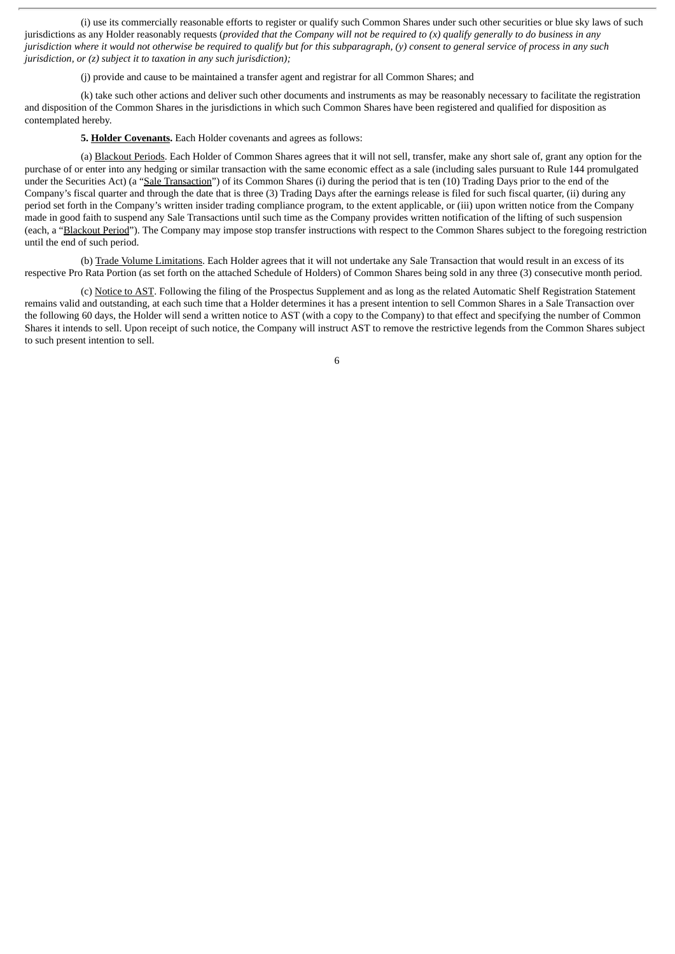(i) use its commercially reasonable efforts to register or qualify such Common Shares under such other securities or blue sky laws of such jurisdictions as any Holder reasonably requests (provided that the Company will not be required to (x) qualify generally to do business in any jurisdiction where it would not otherwise be required to qualify but for this subparagraph, (y) consent to general service of process in any such *jurisdiction, or (z) subject it to taxation in any such jurisdiction);*

(j) provide and cause to be maintained a transfer agent and registrar for all Common Shares; and

(k) take such other actions and deliver such other documents and instruments as may be reasonably necessary to facilitate the registration and disposition of the Common Shares in the jurisdictions in which such Common Shares have been registered and qualified for disposition as contemplated hereby.

**5. Holder Covenants.** Each Holder covenants and agrees as follows:

(a) Blackout Periods. Each Holder of Common Shares agrees that it will not sell, transfer, make any short sale of, grant any option for the purchase of or enter into any hedging or similar transaction with the same economic effect as a sale (including sales pursuant to Rule 144 promulgated under the Securities Act) (a "Sale Transaction") of its Common Shares (i) during the period that is ten (10) Trading Days prior to the end of the Company's fiscal quarter and through the date that is three (3) Trading Days after the earnings release is filed for such fiscal quarter, (ii) during any period set forth in the Company's written insider trading compliance program, to the extent applicable, or (iii) upon written notice from the Company made in good faith to suspend any Sale Transactions until such time as the Company provides written notification of the lifting of such suspension (each, a "Blackout Period"). The Company may impose stop transfer instructions with respect to the Common Shares subject to the foregoing restriction until the end of such period.

(b) Trade Volume Limitations. Each Holder agrees that it will not undertake any Sale Transaction that would result in an excess of its respective Pro Rata Portion (as set forth on the attached Schedule of Holders) of Common Shares being sold in any three (3) consecutive month period.

(c) Notice to AST. Following the filing of the Prospectus Supplement and as long as the related Automatic Shelf Registration Statement remains valid and outstanding, at each such time that a Holder determines it has a present intention to sell Common Shares in a Sale Transaction over the following 60 days, the Holder will send a written notice to AST (with a copy to the Company) to that effect and specifying the number of Common Shares it intends to sell. Upon receipt of such notice, the Company will instruct AST to remove the restrictive legends from the Common Shares subject to such present intention to sell.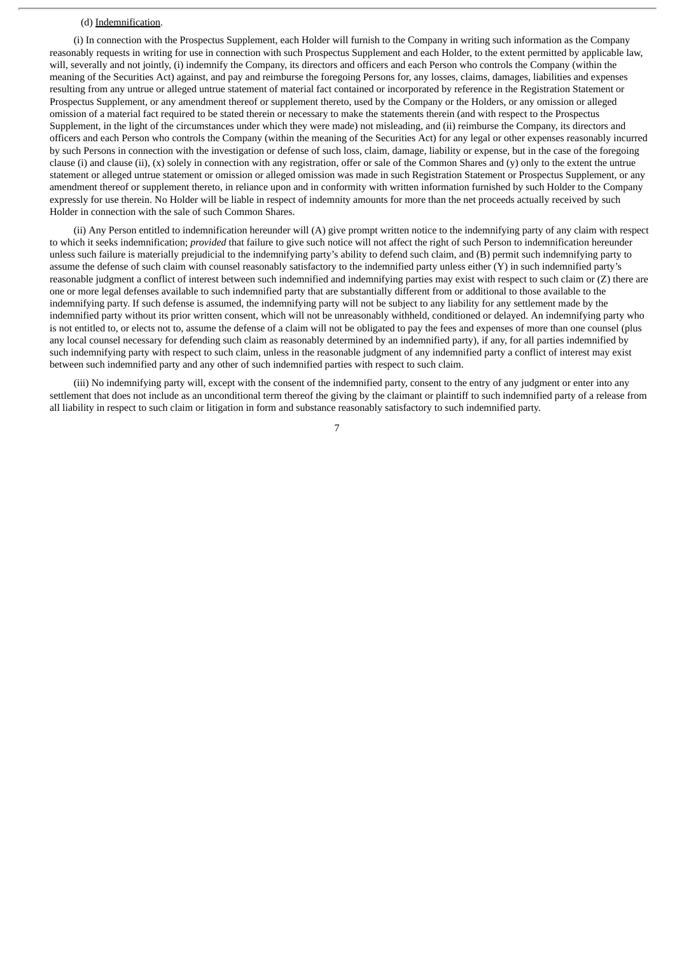#### (d) Indemnification.

(i) In connection with the Prospectus Supplement, each Holder will furnish to the Company in writing such information as the Company reasonably requests in writing for use in connection with such Prospectus Supplement and each Holder, to the extent permitted by applicable law, will, severally and not jointly, (i) indemnify the Company, its directors and officers and each Person who controls the Company (within the meaning of the Securities Act) against, and pay and reimburse the foregoing Persons for, any losses, claims, damages, liabilities and expenses resulting from any untrue or alleged untrue statement of material fact contained or incorporated by reference in the Registration Statement or Prospectus Supplement, or any amendment thereof or supplement thereto, used by the Company or the Holders, or any omission or alleged omission of a material fact required to be stated therein or necessary to make the statements therein (and with respect to the Prospectus Supplement, in the light of the circumstances under which they were made) not misleading, and (ii) reimburse the Company, its directors and officers and each Person who controls the Company (within the meaning of the Securities Act) for any legal or other expenses reasonably incurred by such Persons in connection with the investigation or defense of such loss, claim, damage, liability or expense, but in the case of the foregoing clause (i) and clause (ii),  $(x)$  solely in connection with any registration, offer or sale of the Common Shares and  $(y)$  only to the extent the untrue statement or alleged untrue statement or omission or alleged omission was made in such Registration Statement or Prospectus Supplement, or any amendment thereof or supplement thereto, in reliance upon and in conformity with written information furnished by such Holder to the Company expressly for use therein. No Holder will be liable in respect of indemnity amounts for more than the net proceeds actually received by such Holder in connection with the sale of such Common Shares.

(ii) Any Person entitled to indemnification hereunder will (A) give prompt written notice to the indemnifying party of any claim with respect to which it seeks indemnification; *provided* that failure to give such notice will not affect the right of such Person to indemnification hereunder unless such failure is materially prejudicial to the indemnifying party's ability to defend such claim, and (B) permit such indemnifying party to assume the defense of such claim with counsel reasonably satisfactory to the indemnified party unless either (Y) in such indemnified party's reasonable judgment a conflict of interest between such indemnified and indemnifying parties may exist with respect to such claim or (Z) there are one or more legal defenses available to such indemnified party that are substantially different from or additional to those available to the indemnifying party. If such defense is assumed, the indemnifying party will not be subject to any liability for any settlement made by the indemnified party without its prior written consent, which will not be unreasonably withheld, conditioned or delayed. An indemnifying party who is not entitled to, or elects not to, assume the defense of a claim will not be obligated to pay the fees and expenses of more than one counsel (plus any local counsel necessary for defending such claim as reasonably determined by an indemnified party), if any, for all parties indemnified by such indemnifying party with respect to such claim, unless in the reasonable judgment of any indemnified party a conflict of interest may exist between such indemnified party and any other of such indemnified parties with respect to such claim.

(iii) No indemnifying party will, except with the consent of the indemnified party, consent to the entry of any judgment or enter into any settlement that does not include as an unconditional term thereof the giving by the claimant or plaintiff to such indemnified party of a release from all liability in respect to such claim or litigation in form and substance reasonably satisfactory to such indemnified party.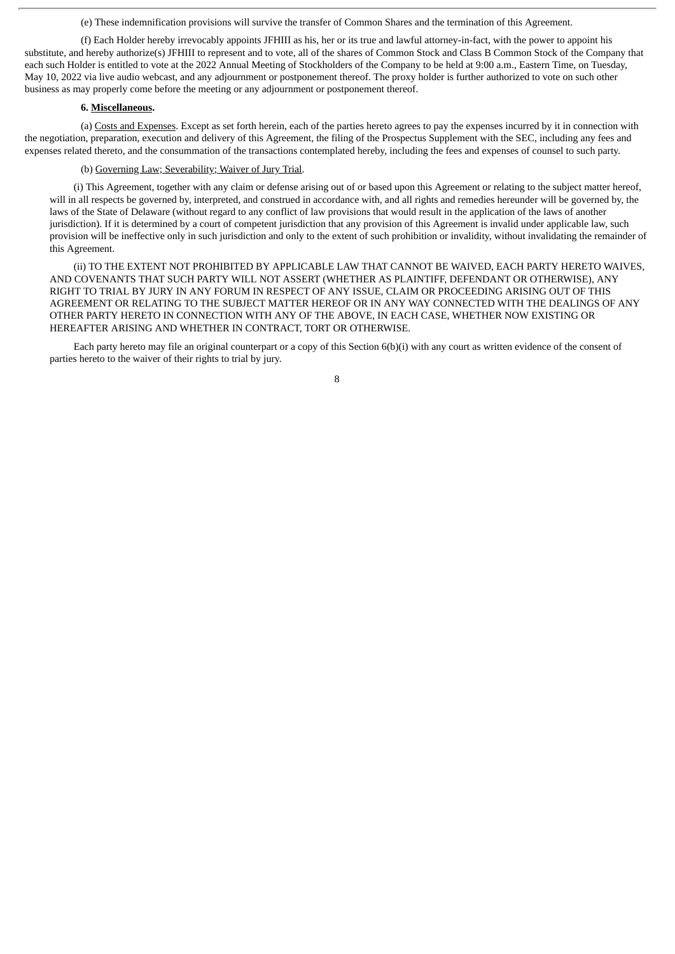(e) These indemnification provisions will survive the transfer of Common Shares and the termination of this Agreement.

(f) Each Holder hereby irrevocably appoints JFHIII as his, her or its true and lawful attorney-in-fact, with the power to appoint his substitute, and hereby authorize(s) JFHIII to represent and to vote, all of the shares of Common Stock and Class B Common Stock of the Company that each such Holder is entitled to vote at the 2022 Annual Meeting of Stockholders of the Company to be held at 9:00 a.m., Eastern Time, on Tuesday, May 10, 2022 via live audio webcast, and any adjournment or postponement thereof. The proxy holder is further authorized to vote on such other business as may properly come before the meeting or any adjournment or postponement thereof.

#### **6. Miscellaneous.**

(a) Costs and Expenses. Except as set forth herein, each of the parties hereto agrees to pay the expenses incurred by it in connection with the negotiation, preparation, execution and delivery of this Agreement, the filing of the Prospectus Supplement with the SEC, including any fees and expenses related thereto, and the consummation of the transactions contemplated hereby, including the fees and expenses of counsel to such party.

# (b) Governing Law; Severability; Waiver of Jury Trial.

(i) This Agreement, together with any claim or defense arising out of or based upon this Agreement or relating to the subject matter hereof, will in all respects be governed by, interpreted, and construed in accordance with, and all rights and remedies hereunder will be governed by, the laws of the State of Delaware (without regard to any conflict of law provisions that would result in the application of the laws of another jurisdiction). If it is determined by a court of competent jurisdiction that any provision of this Agreement is invalid under applicable law, such provision will be ineffective only in such jurisdiction and only to the extent of such prohibition or invalidity, without invalidating the remainder of this Agreement.

(ii) TO THE EXTENT NOT PROHIBITED BY APPLICABLE LAW THAT CANNOT BE WAIVED, EACH PARTY HERETO WAIVES, AND COVENANTS THAT SUCH PARTY WILL NOT ASSERT (WHETHER AS PLAINTIFF, DEFENDANT OR OTHERWISE), ANY RIGHT TO TRIAL BY JURY IN ANY FORUM IN RESPECT OF ANY ISSUE, CLAIM OR PROCEEDING ARISING OUT OF THIS AGREEMENT OR RELATING TO THE SUBJECT MATTER HEREOF OR IN ANY WAY CONNECTED WITH THE DEALINGS OF ANY OTHER PARTY HERETO IN CONNECTION WITH ANY OF THE ABOVE, IN EACH CASE, WHETHER NOW EXISTING OR HEREAFTER ARISING AND WHETHER IN CONTRACT, TORT OR OTHERWISE.

Each party hereto may file an original counterpart or a copy of this Section 6(b)(i) with any court as written evidence of the consent of parties hereto to the waiver of their rights to trial by jury.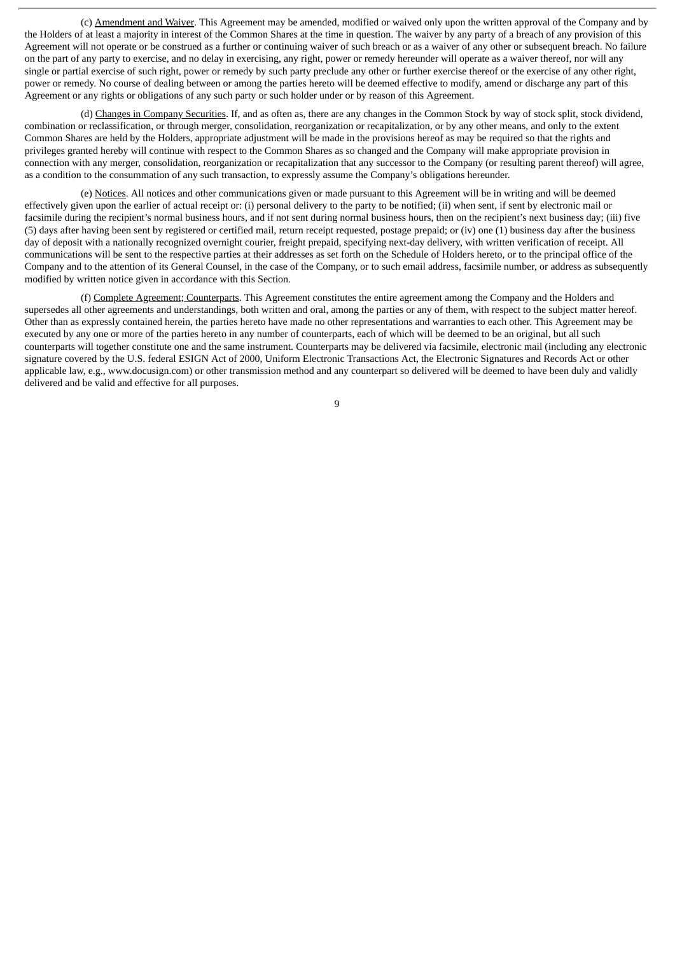(c) Amendment and Waiver. This Agreement may be amended, modified or waived only upon the written approval of the Company and by the Holders of at least a majority in interest of the Common Shares at the time in question. The waiver by any party of a breach of any provision of this Agreement will not operate or be construed as a further or continuing waiver of such breach or as a waiver of any other or subsequent breach. No failure on the part of any party to exercise, and no delay in exercising, any right, power or remedy hereunder will operate as a waiver thereof, nor will any single or partial exercise of such right, power or remedy by such party preclude any other or further exercise thereof or the exercise of any other right, power or remedy. No course of dealing between or among the parties hereto will be deemed effective to modify, amend or discharge any part of this Agreement or any rights or obligations of any such party or such holder under or by reason of this Agreement.

(d) Changes in Company Securities. If, and as often as, there are any changes in the Common Stock by way of stock split, stock dividend, combination or reclassification, or through merger, consolidation, reorganization or recapitalization, or by any other means, and only to the extent Common Shares are held by the Holders, appropriate adjustment will be made in the provisions hereof as may be required so that the rights and privileges granted hereby will continue with respect to the Common Shares as so changed and the Company will make appropriate provision in connection with any merger, consolidation, reorganization or recapitalization that any successor to the Company (or resulting parent thereof) will agree, as a condition to the consummation of any such transaction, to expressly assume the Company's obligations hereunder.

(e) Notices. All notices and other communications given or made pursuant to this Agreement will be in writing and will be deemed effectively given upon the earlier of actual receipt or: (i) personal delivery to the party to be notified; (ii) when sent, if sent by electronic mail or facsimile during the recipient's normal business hours, and if not sent during normal business hours, then on the recipient's next business day; (iii) five (5) days after having been sent by registered or certified mail, return receipt requested, postage prepaid; or (iv) one (1) business day after the business day of deposit with a nationally recognized overnight courier, freight prepaid, specifying next-day delivery, with written verification of receipt. All communications will be sent to the respective parties at their addresses as set forth on the Schedule of Holders hereto, or to the principal office of the Company and to the attention of its General Counsel, in the case of the Company, or to such email address, facsimile number, or address as subsequently modified by written notice given in accordance with this Section.

(f) Complete Agreement; Counterparts. This Agreement constitutes the entire agreement among the Company and the Holders and supersedes all other agreements and understandings, both written and oral, among the parties or any of them, with respect to the subject matter hereof. Other than as expressly contained herein, the parties hereto have made no other representations and warranties to each other. This Agreement may be executed by any one or more of the parties hereto in any number of counterparts, each of which will be deemed to be an original, but all such counterparts will together constitute one and the same instrument. Counterparts may be delivered via facsimile, electronic mail (including any electronic signature covered by the U.S. federal ESIGN Act of 2000, Uniform Electronic Transactions Act, the Electronic Signatures and Records Act or other applicable law, e.g., www.docusign.com) or other transmission method and any counterpart so delivered will be deemed to have been duly and validly delivered and be valid and effective for all purposes.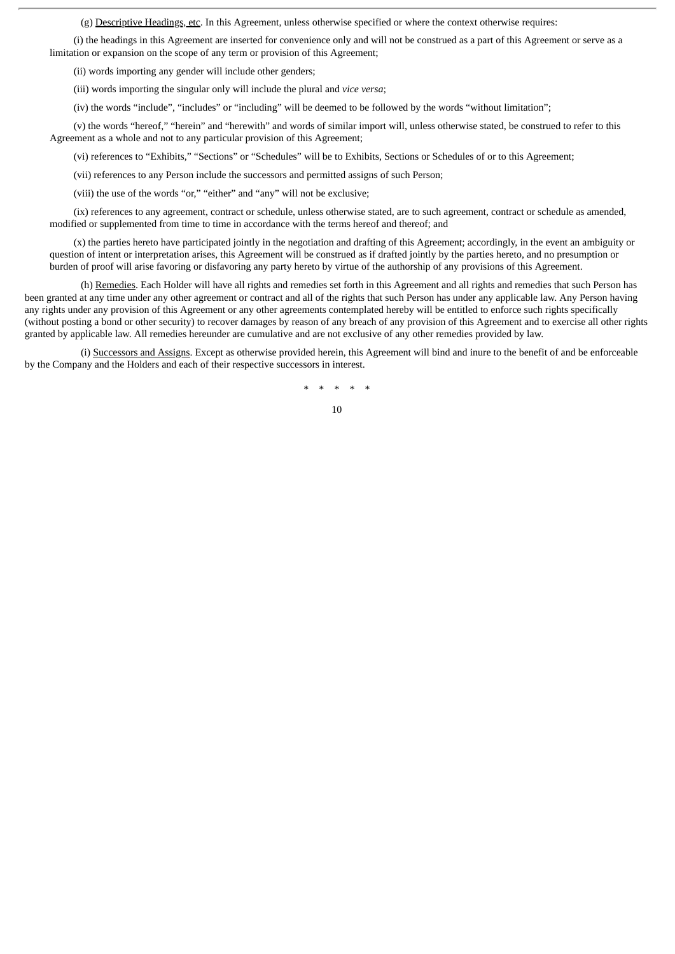(g) Descriptive Headings, etc. In this Agreement, unless otherwise specified or where the context otherwise requires:

(i) the headings in this Agreement are inserted for convenience only and will not be construed as a part of this Agreement or serve as a limitation or expansion on the scope of any term or provision of this Agreement;

(ii) words importing any gender will include other genders;

(iii) words importing the singular only will include the plural and *vice versa*;

(iv) the words "include", "includes" or "including" will be deemed to be followed by the words "without limitation";

(v) the words "hereof," "herein" and "herewith" and words of similar import will, unless otherwise stated, be construed to refer to this Agreement as a whole and not to any particular provision of this Agreement;

(vi) references to "Exhibits," "Sections" or "Schedules" will be to Exhibits, Sections or Schedules of or to this Agreement;

(vii) references to any Person include the successors and permitted assigns of such Person;

(viii) the use of the words "or," "either" and "any" will not be exclusive;

(ix) references to any agreement, contract or schedule, unless otherwise stated, are to such agreement, contract or schedule as amended, modified or supplemented from time to time in accordance with the terms hereof and thereof; and

(x) the parties hereto have participated jointly in the negotiation and drafting of this Agreement; accordingly, in the event an ambiguity or question of intent or interpretation arises, this Agreement will be construed as if drafted jointly by the parties hereto, and no presumption or burden of proof will arise favoring or disfavoring any party hereto by virtue of the authorship of any provisions of this Agreement.

(h) Remedies. Each Holder will have all rights and remedies set forth in this Agreement and all rights and remedies that such Person has been granted at any time under any other agreement or contract and all of the rights that such Person has under any applicable law. Any Person having any rights under any provision of this Agreement or any other agreements contemplated hereby will be entitled to enforce such rights specifically (without posting a bond or other security) to recover damages by reason of any breach of any provision of this Agreement and to exercise all other rights granted by applicable law. All remedies hereunder are cumulative and are not exclusive of any other remedies provided by law.

(i) Successors and Assigns. Except as otherwise provided herein, this Agreement will bind and inure to the benefit of and be enforceable by the Company and the Holders and each of their respective successors in interest.

\* \* \* \* \*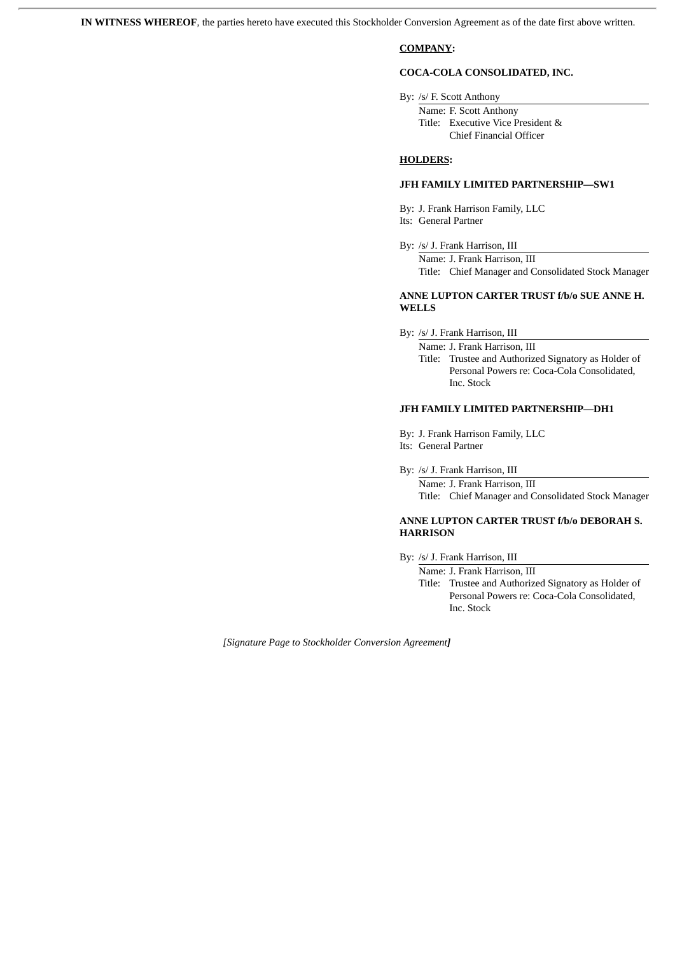**IN WITNESS WHEREOF**, the parties hereto have executed this Stockholder Conversion Agreement as of the date first above written.

## **COMPANY:**

#### **COCA-COLA CONSOLIDATED, INC.**

By: /s/ F. Scott Anthony

Name: F. Scott Anthony Title: Executive Vice President & Chief Financial Officer

#### **HOLDERS:**

#### **JFH FAMILY LIMITED PARTNERSHIP—SW1**

By: J. Frank Harrison Family, LLC

Its: General Partner

By: /s/ J. Frank Harrison, III

Name: J. Frank Harrison, III Title: Chief Manager and Consolidated Stock Manager

#### **ANNE LUPTON CARTER TRUST f/b/o SUE ANNE H. WELLS**

By: /s/ J. Frank Harrison, III

Name: J. Frank Harrison, III Title: Trustee and Authorized Signatory as Holder of Personal Powers re: Coca-Cola Consolidated, Inc. Stock

#### **JFH FAMILY LIMITED PARTNERSHIP—DH1**

By: J. Frank Harrison Family, LLC

Its: General Partner

By: /s/ J. Frank Harrison, III

Name: J. Frank Harrison, III Title: Chief Manager and Consolidated Stock Manager

## **ANNE LUPTON CARTER TRUST f/b/o DEBORAH S. HARRISON**

By: /s/ J. Frank Harrison, III

Name: J. Frank Harrison, III Title: Trustee and Authorized Signatory as Holder of Personal Powers re: Coca-Cola Consolidated, Inc. Stock

*[Signature Page to Stockholder Conversion Agreement]*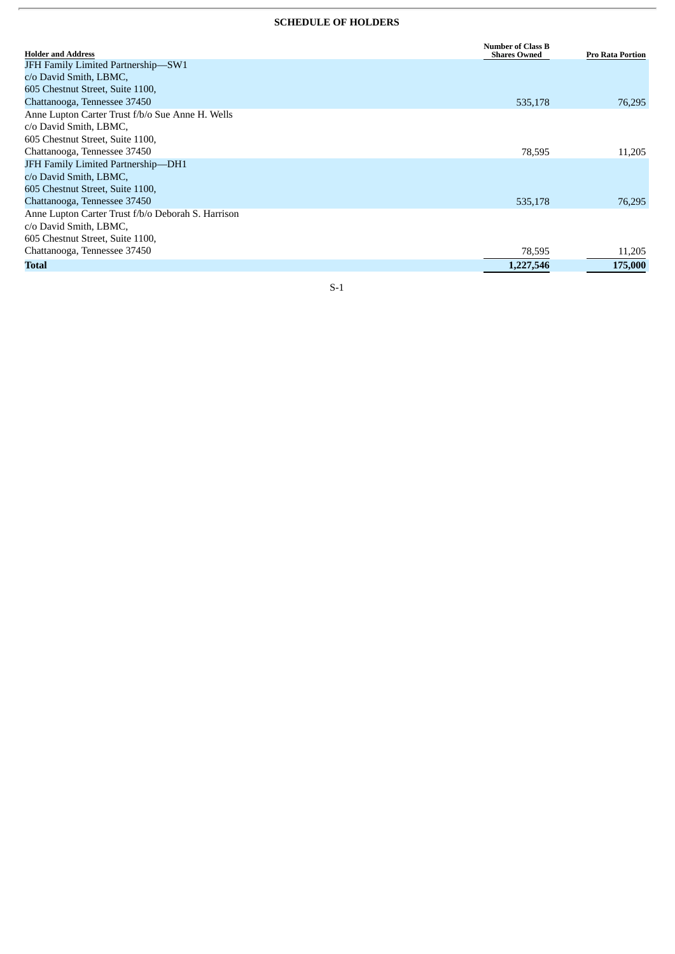# **SCHEDULE OF HOLDERS**

| <b>Holder and Address</b>                          | <b>Number of Class B</b><br><b>Shares Owned</b> | <b>Pro Rata Portion</b> |
|----------------------------------------------------|-------------------------------------------------|-------------------------|
| JFH Family Limited Partnership-SW1                 |                                                 |                         |
| c/o David Smith, LBMC,                             |                                                 |                         |
| 605 Chestnut Street, Suite 1100,                   |                                                 |                         |
| Chattanooga, Tennessee 37450                       | 535,178                                         | 76,295                  |
| Anne Lupton Carter Trust f/b/o Sue Anne H. Wells   |                                                 |                         |
| c/o David Smith, LBMC,                             |                                                 |                         |
| 605 Chestnut Street, Suite 1100,                   |                                                 |                         |
| Chattanooga, Tennessee 37450                       | 78,595                                          | 11,205                  |
| JFH Family Limited Partnership-DH1                 |                                                 |                         |
| c/o David Smith, LBMC,                             |                                                 |                         |
| 605 Chestnut Street, Suite 1100,                   |                                                 |                         |
| Chattanooga, Tennessee 37450                       | 535,178                                         | 76.295                  |
| Anne Lupton Carter Trust f/b/o Deborah S. Harrison |                                                 |                         |
| c/o David Smith, LBMC,                             |                                                 |                         |
| 605 Chestnut Street, Suite 1100,                   |                                                 |                         |
| Chattanooga, Tennessee 37450                       | 78,595                                          | 11,205                  |
| <b>Total</b>                                       | 1,227,546                                       | 175,000                 |
|                                                    |                                                 |                         |

S-1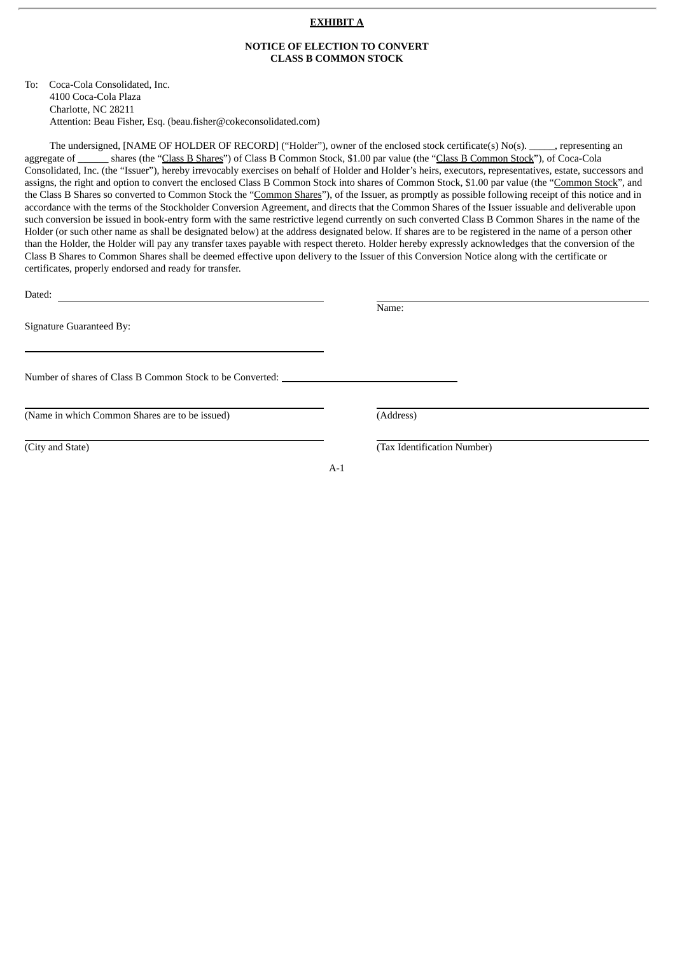#### **EXHIBIT A**

#### **NOTICE OF ELECTION TO CONVERT CLASS B COMMON STOCK**

To: Coca-Cola Consolidated, Inc. 4100 Coca-Cola Plaza Charlotte, NC 28211 Attention: Beau Fisher, Esq. (beau.fisher@cokeconsolidated.com)

The undersigned, [NAME OF HOLDER OF RECORD] ("Holder"), owner of the enclosed stock certificate(s) No(s). \_\_\_\_\_, representing an aggregate of shares (the "Class B Shares") of Class B Common Stock, \$1.00 par value (the "Class B Common Stock"), of Coca-Cola Consolidated, Inc. (the "Issuer"), hereby irrevocably exercises on behalf of Holder and Holder's heirs, executors, representatives, estate, successors and assigns, the right and option to convert the enclosed Class B Common Stock into shares of Common Stock, \$1.00 par value (the "Common Stock", and the Class B Shares so converted to Common Stock the "Common Shares"), of the Issuer, as promptly as possible following receipt of this notice and in accordance with the terms of the Stockholder Conversion Agreement, and directs that the Common Shares of the Issuer issuable and deliverable upon such conversion be issued in book-entry form with the same restrictive legend currently on such converted Class B Common Shares in the name of the Holder (or such other name as shall be designated below) at the address designated below. If shares are to be registered in the name of a person other than the Holder, the Holder will pay any transfer taxes payable with respect thereto. Holder hereby expressly acknowledges that the conversion of the Class B Shares to Common Shares shall be deemed effective upon delivery to the Issuer of this Conversion Notice along with the certificate or certificates, properly endorsed and ready for transfer.

| Dated:                                                           |                             |
|------------------------------------------------------------------|-----------------------------|
|                                                                  | Name:                       |
| <b>Signature Guaranteed By:</b>                                  |                             |
| Number of shares of Class B Common Stock to be Converted: ______ |                             |
| (Name in which Common Shares are to be issued)                   | (Address)                   |
| (City and State)                                                 | (Tax Identification Number) |
|                                                                  | $A-1$                       |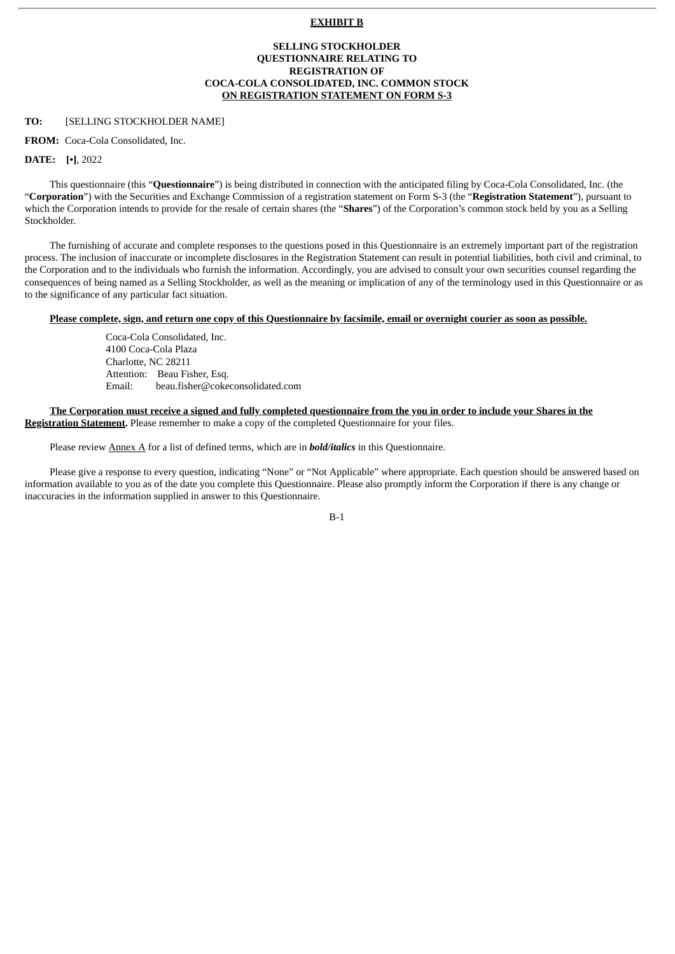#### **EXHIBIT B**

## **SELLING STOCKHOLDER QUESTIONNAIRE RELATING TO REGISTRATION OF COCA-COLA CONSOLIDATED, INC. COMMON STOCK ON REGISTRATION STATEMENT ON FORM S-3**

#### **TO:** [SELLING STOCKHOLDER NAME]

**FROM:** Coca-Cola Consolidated, Inc.

#### **DATE: [•]**, 2022

This questionnaire (this "**Questionnaire**") is being distributed in connection with the anticipated filing by Coca-Cola Consolidated, Inc. (the "**Corporation**") with the Securities and Exchange Commission of a registration statement on Form S-3 (the "**Registration Statement**"), pursuant to which the Corporation intends to provide for the resale of certain shares (the "**Shares**") of the Corporation's common stock held by you as a Selling Stockholder.

The furnishing of accurate and complete responses to the questions posed in this Questionnaire is an extremely important part of the registration process. The inclusion of inaccurate or incomplete disclosures in the Registration Statement can result in potential liabilities, both civil and criminal, to the Corporation and to the individuals who furnish the information. Accordingly, you are advised to consult your own securities counsel regarding the consequences of being named as a Selling Stockholder, as well as the meaning or implication of any of the terminology used in this Questionnaire or as to the significance of any particular fact situation.

#### Please complete, sign, and return one copy of this Questionnaire by facsimile, email or overnight courier as soon as possible.

Coca-Cola Consolidated, Inc. 4100 Coca-Cola Plaza Charlotte, NC 28211 Attention: Beau Fisher, Esq. Email: beau.fisher@cokeconsolidated.com

The Corporation must receive a signed and fully completed questionnaire from the you in order to include your Shares in the **Registration Statement.** Please remember to make a copy of the completed Questionnaire for your files.

Please review Annex A for a list of defined terms, which are in *bold/italics* in this Questionnaire.

Please give a response to every question, indicating "None" or "Not Applicable" where appropriate. Each question should be answered based on information available to you as of the date you complete this Questionnaire. Please also promptly inform the Corporation if there is any change or inaccuracies in the information supplied in answer to this Questionnaire.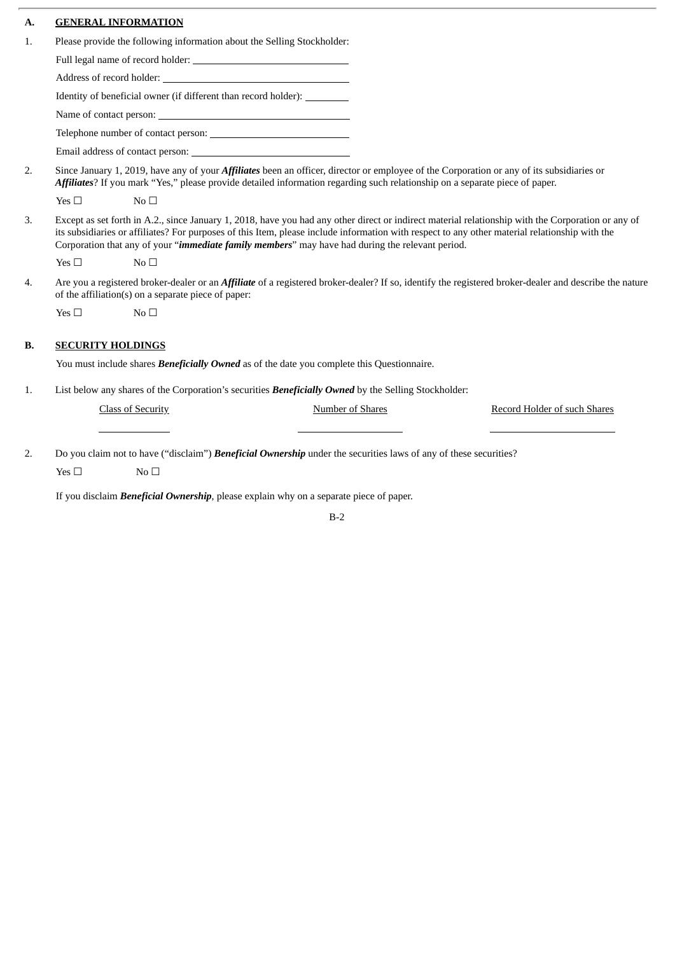# **A. GENERAL INFORMATION**

|  |  |  | Please provide the following information about the Selling Stockholder: |
|--|--|--|-------------------------------------------------------------------------|
|  |  |  |                                                                         |

| Identity of beneficial owner (if different than record holder): __________ |
|----------------------------------------------------------------------------|
|                                                                            |
|                                                                            |
| Email address of contact person:                                           |
|                                                                            |

2. Since January 1, 2019, have any of your *Affiliates* been an officer, director or employee of the Corporation or any of its subsidiaries or *Affiliates*? If you mark "Yes," please provide detailed information regarding such relationship on a separate piece of paper.

|    | Yes $\Box$ | No $\Box$                                                                                                                                                                                                                                                                                                                                                                                                         |
|----|------------|-------------------------------------------------------------------------------------------------------------------------------------------------------------------------------------------------------------------------------------------------------------------------------------------------------------------------------------------------------------------------------------------------------------------|
| 3. |            | Except as set forth in A.2., since January 1, 2018, have you had any other direct or indirect material relationship with the Corporation or any of<br>its subsidiaries or affiliates? For purposes of this Item, please include information with respect to any other material relationship with the<br>Corporation that any of your " <b>immediate family members</b> " may have had during the relevant period. |
|    | Yes $\Box$ | No <sub>1</sub>                                                                                                                                                                                                                                                                                                                                                                                                   |
| 4. |            | Are you a registered broker-dealer or an <i>Affiliate</i> of a registered broker-dealer? If so, identify the registered broker-dealer and describe the nature                                                                                                                                                                                                                                                     |

of the affiliation(s) on a separate piece of paper:

Yes  $□$  No  $□$ 

# **B. SECURITY HOLDINGS**

You must include shares *Beneficially Owned* as of the date you complete this Questionnaire.

1. List below any shares of the Corporation's securities *Beneficially Owned* by the Selling Stockholder:

| Class of Security | Number of Shares | Record Holder of such Shares |
|-------------------|------------------|------------------------------|
|                   |                  |                              |

2. Do you claim not to have ("disclaim") *Beneficial Ownership* under the securities laws of any of these securities?  $Yes \Box$  No  $\Box$ 

If you disclaim *Beneficial Ownership*, please explain why on a separate piece of paper.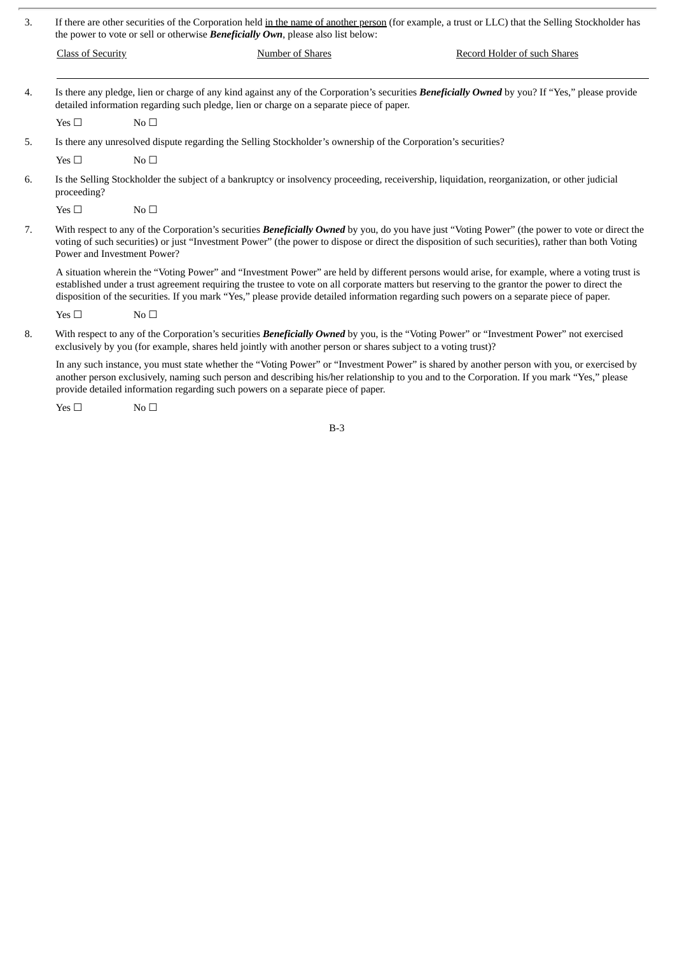| 3. | If there are other securities of the Corporation held in the name of another person (for example, a trust or LLC) that the Selling Stockholder has<br>the power to vote or sell or otherwise <b>Beneficially Own</b> , please also list below: |                 |                                                                                                                |                                                                                                                                                                                                                                                                                                                                                                                                                                               |
|----|------------------------------------------------------------------------------------------------------------------------------------------------------------------------------------------------------------------------------------------------|-----------------|----------------------------------------------------------------------------------------------------------------|-----------------------------------------------------------------------------------------------------------------------------------------------------------------------------------------------------------------------------------------------------------------------------------------------------------------------------------------------------------------------------------------------------------------------------------------------|
|    | <b>Class of Security</b>                                                                                                                                                                                                                       |                 | <b>Number of Shares</b>                                                                                        | Record Holder of such Shares                                                                                                                                                                                                                                                                                                                                                                                                                  |
| 4. |                                                                                                                                                                                                                                                |                 | detailed information regarding such pledge, lien or charge on a separate piece of paper.                       | Is there any pledge, lien or charge of any kind against any of the Corporation's securities <b>Beneficially Owned</b> by you? If "Yes," please provide                                                                                                                                                                                                                                                                                        |
|    | Yes $\square$                                                                                                                                                                                                                                  | No <sub>1</sub> |                                                                                                                |                                                                                                                                                                                                                                                                                                                                                                                                                                               |
| 5. |                                                                                                                                                                                                                                                |                 | Is there any unresolved dispute regarding the Selling Stockholder's ownership of the Corporation's securities? |                                                                                                                                                                                                                                                                                                                                                                                                                                               |
|    | Yes $\square$                                                                                                                                                                                                                                  | No $\square$    |                                                                                                                |                                                                                                                                                                                                                                                                                                                                                                                                                                               |
| 6. | proceeding?                                                                                                                                                                                                                                    |                 |                                                                                                                | Is the Selling Stockholder the subject of a bankruptcy or insolvency proceeding, receivership, liquidation, reorganization, or other judicial                                                                                                                                                                                                                                                                                                 |
|    | Yes $\square$                                                                                                                                                                                                                                  | No <sub>1</sub> |                                                                                                                |                                                                                                                                                                                                                                                                                                                                                                                                                                               |
| 7. | Power and Investment Power?                                                                                                                                                                                                                    |                 |                                                                                                                | With respect to any of the Corporation's securities Beneficially Owned by you, do you have just "Voting Power" (the power to vote or direct the<br>voting of such securities) or just "Investment Power" (the power to dispose or direct the disposition of such securities), rather than both Voting                                                                                                                                         |
|    |                                                                                                                                                                                                                                                |                 |                                                                                                                | A situation wherein the "Voting Power" and "Investment Power" are held by different persons would arise, for example, where a voting trust is<br>established under a trust agreement requiring the trustee to vote on all corporate matters but reserving to the grantor the power to direct the<br>disposition of the securities. If you mark "Yes," please provide detailed information regarding such powers on a separate piece of paper. |
|    | Yes $\square$                                                                                                                                                                                                                                  | No <sub>1</sub> |                                                                                                                |                                                                                                                                                                                                                                                                                                                                                                                                                                               |
| 8. |                                                                                                                                                                                                                                                |                 | exclusively by you (for example, shares held jointly with another person or shares subject to a voting trust)? | With respect to any of the Corporation's securities Beneficially Owned by you, is the "Voting Power" or "Investment Power" not exercised                                                                                                                                                                                                                                                                                                      |
|    |                                                                                                                                                                                                                                                |                 | provide detailed information regarding such powers on a separate piece of paper.                               | In any such instance, you must state whether the "Voting Power" or "Investment Power" is shared by another person with you, or exercised by<br>another person exclusively, naming such person and describing his/her relationship to you and to the Corporation. If you mark "Yes," please                                                                                                                                                    |

Yes  $□$  No  $□$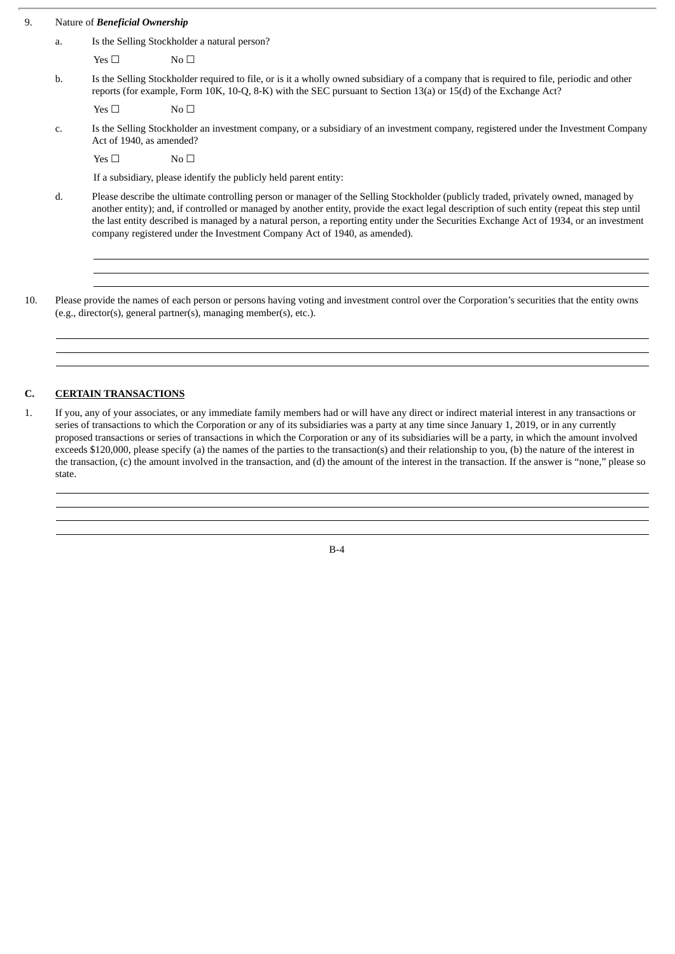# 9. Nature of *Beneficial Ownership*

a. Is the Selling Stockholder a natural person?

 $Yes \Box$  No  $\Box$ 

b. Is the Selling Stockholder required to file, or is it a wholly owned subsidiary of a company that is required to file, periodic and other reports (for example, Form 10K, 10-Q, 8-K) with the SEC pursuant to Section 13(a) or 15(d) of the Exchange Act?

Yes  $□$  No  $□$ 

c. Is the Selling Stockholder an investment company, or a subsidiary of an investment company, registered under the Investment Company Act of 1940, as amended?

 $Yes \Box$  No  $\Box$ 

If a subsidiary, please identify the publicly held parent entity:

- d. Please describe the ultimate controlling person or manager of the Selling Stockholder (publicly traded, privately owned, managed by another entity); and, if controlled or managed by another entity, provide the exact legal description of such entity (repeat this step until the last entity described is managed by a natural person, a reporting entity under the Securities Exchange Act of 1934, or an investment company registered under the Investment Company Act of 1940, as amended).
- 10. Please provide the names of each person or persons having voting and investment control over the Corporation's securities that the entity owns (e.g., director(s), general partner(s), managing member(s), etc.).

# **C. CERTAIN TRANSACTIONS**

1. If you, any of your associates, or any immediate family members had or will have any direct or indirect material interest in any transactions or series of transactions to which the Corporation or any of its subsidiaries was a party at any time since January 1, 2019, or in any currently proposed transactions or series of transactions in which the Corporation or any of its subsidiaries will be a party, in which the amount involved exceeds \$120,000, please specify (a) the names of the parties to the transaction(s) and their relationship to you, (b) the nature of the interest in the transaction, (c) the amount involved in the transaction, and (d) the amount of the interest in the transaction. If the answer is "none," please so state.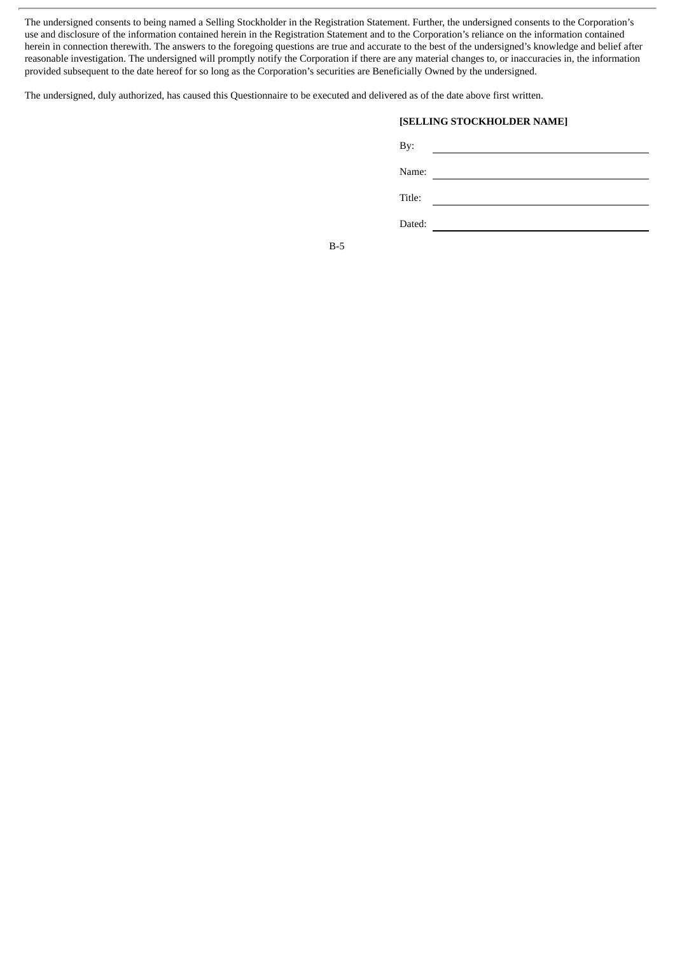The undersigned consents to being named a Selling Stockholder in the Registration Statement. Further, the undersigned consents to the Corporation's use and disclosure of the information contained herein in the Registration Statement and to the Corporation's reliance on the information contained herein in connection therewith. The answers to the foregoing questions are true and accurate to the best of the undersigned's knowledge and belief after reasonable investigation. The undersigned will promptly notify the Corporation if there are any material changes to, or inaccuracies in, the information provided subsequent to the date hereof for so long as the Corporation's securities are Beneficially Owned by the undersigned.

The undersigned, duly authorized, has caused this Questionnaire to be executed and delivered as of the date above first written.

# **[SELLING STOCKHOLDER NAME]**

| By:    |  |  |  |
|--------|--|--|--|
| Name:  |  |  |  |
| Title: |  |  |  |

B-5

Dated: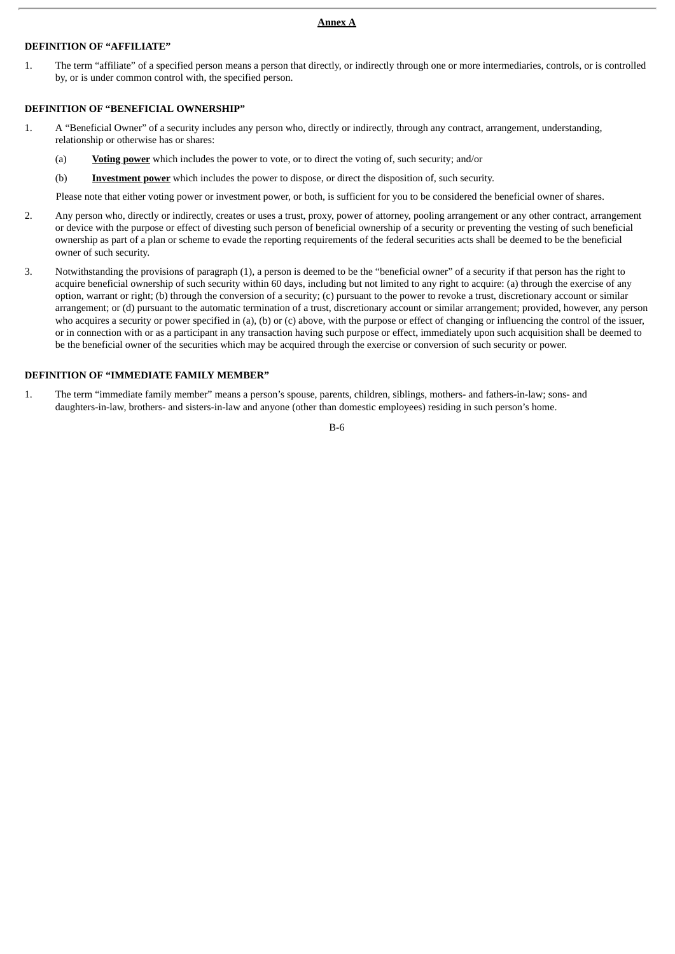#### **Annex A**

# **DEFINITION OF "AFFILIATE"**

1. The term "affiliate" of a specified person means a person that directly, or indirectly through one or more intermediaries, controls, or is controlled by, or is under common control with, the specified person.

#### **DEFINITION OF "BENEFICIAL OWNERSHIP"**

- 1. A "Beneficial Owner" of a security includes any person who, directly or indirectly, through any contract, arrangement, understanding, relationship or otherwise has or shares:
	- (a) **Voting power** which includes the power to vote, or to direct the voting of, such security; and/or
	- (b) **Investment power** which includes the power to dispose, or direct the disposition of, such security.
	- Please note that either voting power or investment power, or both, is sufficient for you to be considered the beneficial owner of shares.
- 2. Any person who, directly or indirectly, creates or uses a trust, proxy, power of attorney, pooling arrangement or any other contract, arrangement or device with the purpose or effect of divesting such person of beneficial ownership of a security or preventing the vesting of such beneficial ownership as part of a plan or scheme to evade the reporting requirements of the federal securities acts shall be deemed to be the beneficial owner of such security.
- 3. Notwithstanding the provisions of paragraph (1), a person is deemed to be the "beneficial owner" of a security if that person has the right to acquire beneficial ownership of such security within 60 days, including but not limited to any right to acquire: (a) through the exercise of any option, warrant or right; (b) through the conversion of a security; (c) pursuant to the power to revoke a trust, discretionary account or similar arrangement; or (d) pursuant to the automatic termination of a trust, discretionary account or similar arrangement; provided, however, any person who acquires a security or power specified in (a), (b) or (c) above, with the purpose or effect of changing or influencing the control of the issuer, or in connection with or as a participant in any transaction having such purpose or effect, immediately upon such acquisition shall be deemed to be the beneficial owner of the securities which may be acquired through the exercise or conversion of such security or power.

#### **DEFINITION OF "IMMEDIATE FAMILY MEMBER"**

1. The term "immediate family member" means a person's spouse, parents, children, siblings, mothers- and fathers-in-law; sons- and daughters-in-law, brothers- and sisters-in-law and anyone (other than domestic employees) residing in such person's home.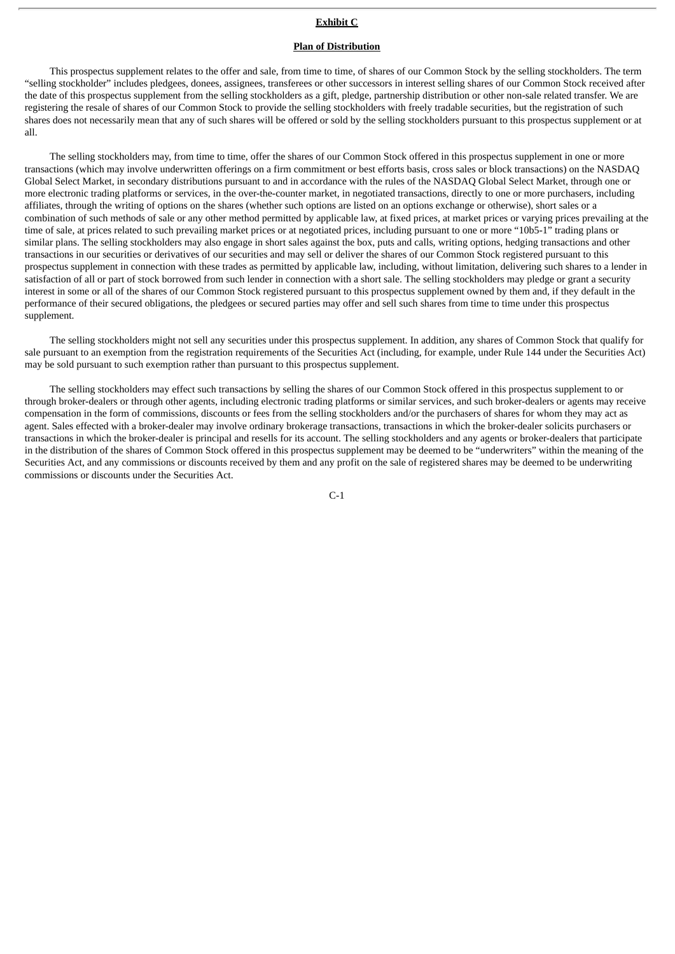#### **Exhibit C**

## **Plan of Distribution**

This prospectus supplement relates to the offer and sale, from time to time, of shares of our Common Stock by the selling stockholders. The term "selling stockholder" includes pledgees, donees, assignees, transferees or other successors in interest selling shares of our Common Stock received after the date of this prospectus supplement from the selling stockholders as a gift, pledge, partnership distribution or other non-sale related transfer. We are registering the resale of shares of our Common Stock to provide the selling stockholders with freely tradable securities, but the registration of such shares does not necessarily mean that any of such shares will be offered or sold by the selling stockholders pursuant to this prospectus supplement or at all.

The selling stockholders may, from time to time, offer the shares of our Common Stock offered in this prospectus supplement in one or more transactions (which may involve underwritten offerings on a firm commitment or best efforts basis, cross sales or block transactions) on the NASDAQ Global Select Market, in secondary distributions pursuant to and in accordance with the rules of the NASDAQ Global Select Market, through one or more electronic trading platforms or services, in the over-the-counter market, in negotiated transactions, directly to one or more purchasers, including affiliates, through the writing of options on the shares (whether such options are listed on an options exchange or otherwise), short sales or a combination of such methods of sale or any other method permitted by applicable law, at fixed prices, at market prices or varying prices prevailing at the time of sale, at prices related to such prevailing market prices or at negotiated prices, including pursuant to one or more "10b5-1" trading plans or similar plans. The selling stockholders may also engage in short sales against the box, puts and calls, writing options, hedging transactions and other transactions in our securities or derivatives of our securities and may sell or deliver the shares of our Common Stock registered pursuant to this prospectus supplement in connection with these trades as permitted by applicable law, including, without limitation, delivering such shares to a lender in satisfaction of all or part of stock borrowed from such lender in connection with a short sale. The selling stockholders may pledge or grant a security interest in some or all of the shares of our Common Stock registered pursuant to this prospectus supplement owned by them and, if they default in the performance of their secured obligations, the pledgees or secured parties may offer and sell such shares from time to time under this prospectus supplement.

The selling stockholders might not sell any securities under this prospectus supplement. In addition, any shares of Common Stock that qualify for sale pursuant to an exemption from the registration requirements of the Securities Act (including, for example, under Rule 144 under the Securities Act) may be sold pursuant to such exemption rather than pursuant to this prospectus supplement.

The selling stockholders may effect such transactions by selling the shares of our Common Stock offered in this prospectus supplement to or through broker-dealers or through other agents, including electronic trading platforms or similar services, and such broker-dealers or agents may receive compensation in the form of commissions, discounts or fees from the selling stockholders and/or the purchasers of shares for whom they may act as agent. Sales effected with a broker-dealer may involve ordinary brokerage transactions, transactions in which the broker-dealer solicits purchasers or transactions in which the broker-dealer is principal and resells for its account. The selling stockholders and any agents or broker-dealers that participate in the distribution of the shares of Common Stock offered in this prospectus supplement may be deemed to be "underwriters" within the meaning of the Securities Act, and any commissions or discounts received by them and any profit on the sale of registered shares may be deemed to be underwriting commissions or discounts under the Securities Act.

C-1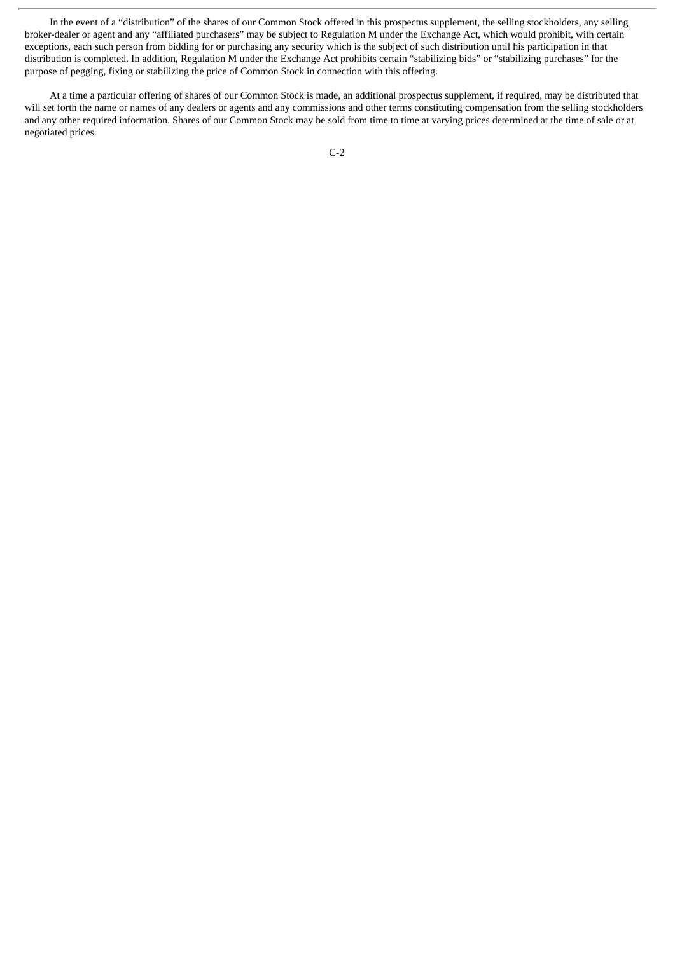In the event of a "distribution" of the shares of our Common Stock offered in this prospectus supplement, the selling stockholders, any selling broker-dealer or agent and any "affiliated purchasers" may be subject to Regulation M under the Exchange Act, which would prohibit, with certain exceptions, each such person from bidding for or purchasing any security which is the subject of such distribution until his participation in that distribution is completed. In addition, Regulation M under the Exchange Act prohibits certain "stabilizing bids" or "stabilizing purchases" for the purpose of pegging, fixing or stabilizing the price of Common Stock in connection with this offering.

At a time a particular offering of shares of our Common Stock is made, an additional prospectus supplement, if required, may be distributed that will set forth the name or names of any dealers or agents and any commissions and other terms constituting compensation from the selling stockholders and any other required information. Shares of our Common Stock may be sold from time to time at varying prices determined at the time of sale or at negotiated prices.